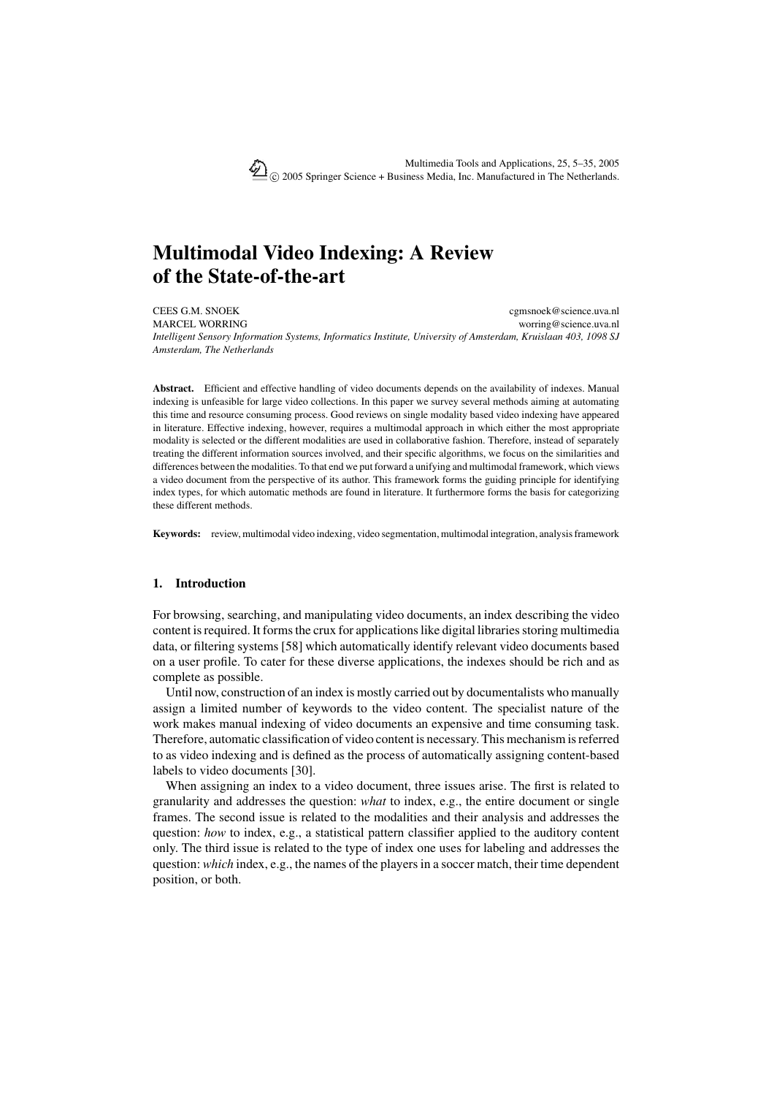# **Multimodal Video Indexing: A Review of the State-of-the-art**

CEES G.M. SNOEK cgmsnoek@science.uva.nl MARCEL WORRING worring@science.uva.nl *Intelligent Sensory Information Systems, Informatics Institute, University of Amsterdam, Kruislaan 403, 1098 SJ Amsterdam, The Netherlands*

**Abstract.** Efficient and effective handling of video documents depends on the availability of indexes. Manual indexing is unfeasible for large video collections. In this paper we survey several methods aiming at automating this time and resource consuming process. Good reviews on single modality based video indexing have appeared in literature. Effective indexing, however, requires a multimodal approach in which either the most appropriate modality is selected or the different modalities are used in collaborative fashion. Therefore, instead of separately treating the different information sources involved, and their specific algorithms, we focus on the similarities and differences between the modalities. To that end we put forward a unifying and multimodal framework, which views a video document from the perspective of its author. This framework forms the guiding principle for identifying index types, for which automatic methods are found in literature. It furthermore forms the basis for categorizing these different methods.

**Keywords:** review, multimodal video indexing, video segmentation, multimodal integration, analysis framework

#### **1. Introduction**

For browsing, searching, and manipulating video documents, an index describing the video content is required. It forms the crux for applications like digital libraries storing multimedia data, or filtering systems [58] which automatically identify relevant video documents based on a user profile. To cater for these diverse applications, the indexes should be rich and as complete as possible.

Until now, construction of an index is mostly carried out by documentalists who manually assign a limited number of keywords to the video content. The specialist nature of the work makes manual indexing of video documents an expensive and time consuming task. Therefore, automatic classification of video content is necessary. This mechanism is referred to as video indexing and is defined as the process of automatically assigning content-based labels to video documents [30].

When assigning an index to a video document, three issues arise. The first is related to granularity and addresses the question: *what* to index, e.g., the entire document or single frames. The second issue is related to the modalities and their analysis and addresses the question: *how* to index, e.g., a statistical pattern classifier applied to the auditory content only. The third issue is related to the type of index one uses for labeling and addresses the question: *which* index, e.g., the names of the players in a soccer match, their time dependent position, or both.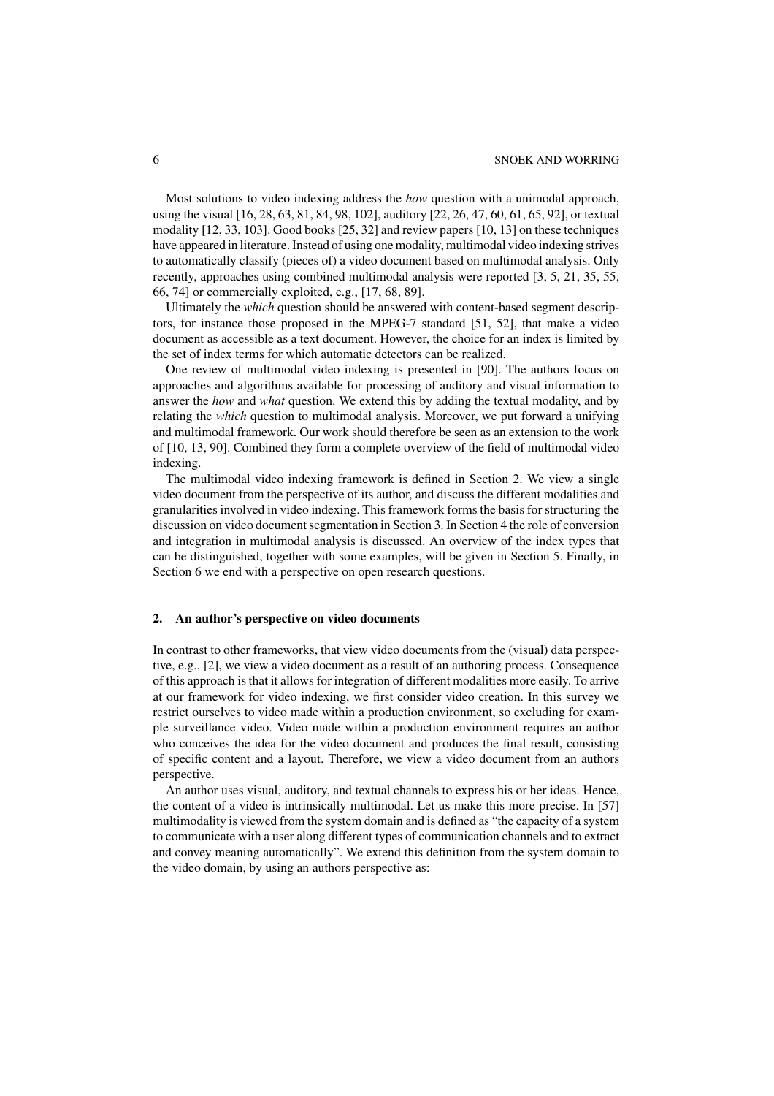Most solutions to video indexing address the *how* question with a unimodal approach, using the visual [16, 28, 63, 81, 84, 98, 102], auditory [22, 26, 47, 60, 61, 65, 92], or textual modality [12, 33, 103]. Good books [25, 32] and review papers [10, 13] on these techniques have appeared in literature. Instead of using one modality, multimodal video indexing strives to automatically classify (pieces of) a video document based on multimodal analysis. Only recently, approaches using combined multimodal analysis were reported [3, 5, 21, 35, 55, 66, 74] or commercially exploited, e.g., [17, 68, 89].

Ultimately the *which* question should be answered with content-based segment descriptors, for instance those proposed in the MPEG-7 standard [51, 52], that make a video document as accessible as a text document. However, the choice for an index is limited by the set of index terms for which automatic detectors can be realized.

One review of multimodal video indexing is presented in [90]. The authors focus on approaches and algorithms available for processing of auditory and visual information to answer the *how* and *what* question. We extend this by adding the textual modality, and by relating the *which* question to multimodal analysis. Moreover, we put forward a unifying and multimodal framework. Our work should therefore be seen as an extension to the work of [10, 13, 90]. Combined they form a complete overview of the field of multimodal video indexing.

The multimodal video indexing framework is defined in Section 2. We view a single video document from the perspective of its author, and discuss the different modalities and granularities involved in video indexing. This framework forms the basis for structuring the discussion on video document segmentation in Section 3. In Section 4 the role of conversion and integration in multimodal analysis is discussed. An overview of the index types that can be distinguished, together with some examples, will be given in Section 5. Finally, in Section 6 we end with a perspective on open research questions.

## **2. An author's perspective on video documents**

In contrast to other frameworks, that view video documents from the (visual) data perspective, e.g., [2], we view a video document as a result of an authoring process. Consequence of this approach is that it allows for integration of different modalities more easily. To arrive at our framework for video indexing, we first consider video creation. In this survey we restrict ourselves to video made within a production environment, so excluding for example surveillance video. Video made within a production environment requires an author who conceives the idea for the video document and produces the final result, consisting of specific content and a layout. Therefore, we view a video document from an authors perspective.

An author uses visual, auditory, and textual channels to express his or her ideas. Hence, the content of a video is intrinsically multimodal. Let us make this more precise. In [57] multimodality is viewed from the system domain and is defined as "the capacity of a system to communicate with a user along different types of communication channels and to extract and convey meaning automatically". We extend this definition from the system domain to the video domain, by using an authors perspective as: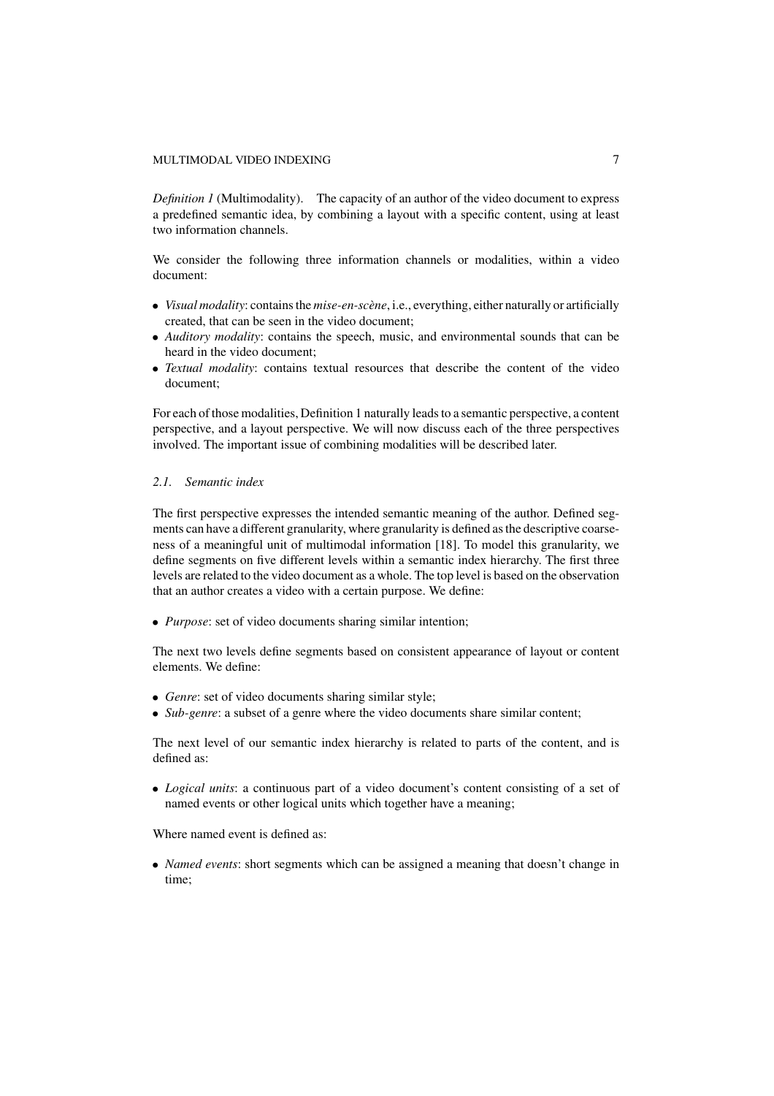*Definition 1* (Multimodality). The capacity of an author of the video document to express a predefined semantic idea, by combining a layout with a specific content, using at least two information channels.

We consider the following three information channels or modalities, within a video document:

- *Visual modality:* contains the *mise-en-scène*, *i.e.*, everything, either naturally or artificially created, that can be seen in the video document;
- *Auditory modality*: contains the speech, music, and environmental sounds that can be heard in the video document;
- *Textual modality*: contains textual resources that describe the content of the video document;

For each of those modalities, Definition 1 naturally leads to a semantic perspective, a content perspective, and a layout perspective. We will now discuss each of the three perspectives involved. The important issue of combining modalities will be described later.

## *2.1. Semantic index*

The first perspective expresses the intended semantic meaning of the author. Defined segments can have a different granularity, where granularity is defined as the descriptive coarseness of a meaningful unit of multimodal information [18]. To model this granularity, we define segments on five different levels within a semantic index hierarchy. The first three levels are related to the video document as a whole. The top level is based on the observation that an author creates a video with a certain purpose. We define:

• *Purpose*: set of video documents sharing similar intention;

The next two levels define segments based on consistent appearance of layout or content elements. We define:

- *Genre*: set of video documents sharing similar style;
- *Sub-genre*: a subset of a genre where the video documents share similar content;

The next level of our semantic index hierarchy is related to parts of the content, and is defined as:

• *Logical units*: a continuous part of a video document's content consisting of a set of named events or other logical units which together have a meaning;

Where named event is defined as:

• *Named events*: short segments which can be assigned a meaning that doesn't change in time;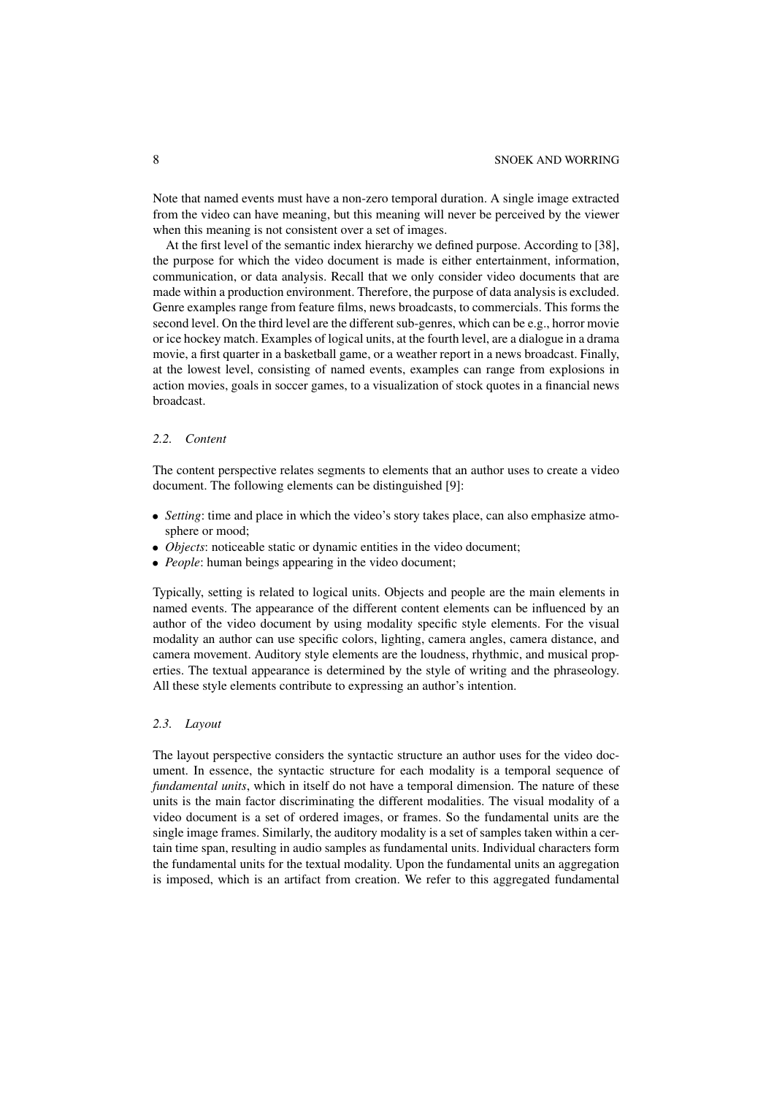Note that named events must have a non-zero temporal duration. A single image extracted from the video can have meaning, but this meaning will never be perceived by the viewer when this meaning is not consistent over a set of images.

At the first level of the semantic index hierarchy we defined purpose. According to [38], the purpose for which the video document is made is either entertainment, information, communication, or data analysis. Recall that we only consider video documents that are made within a production environment. Therefore, the purpose of data analysis is excluded. Genre examples range from feature films, news broadcasts, to commercials. This forms the second level. On the third level are the different sub-genres, which can be e.g., horror movie or ice hockey match. Examples of logical units, at the fourth level, are a dialogue in a drama movie, a first quarter in a basketball game, or a weather report in a news broadcast. Finally, at the lowest level, consisting of named events, examples can range from explosions in action movies, goals in soccer games, to a visualization of stock quotes in a financial news broadcast.

## *2.2. Content*

The content perspective relates segments to elements that an author uses to create a video document. The following elements can be distinguished [9]:

- *Setting*: time and place in which the video's story takes place, can also emphasize atmosphere or mood;
- *Objects*: noticeable static or dynamic entities in the video document;
- *People*: human beings appearing in the video document;

Typically, setting is related to logical units. Objects and people are the main elements in named events. The appearance of the different content elements can be influenced by an author of the video document by using modality specific style elements. For the visual modality an author can use specific colors, lighting, camera angles, camera distance, and camera movement. Auditory style elements are the loudness, rhythmic, and musical properties. The textual appearance is determined by the style of writing and the phraseology. All these style elements contribute to expressing an author's intention.

## *2.3. Layout*

The layout perspective considers the syntactic structure an author uses for the video document. In essence, the syntactic structure for each modality is a temporal sequence of *fundamental units*, which in itself do not have a temporal dimension. The nature of these units is the main factor discriminating the different modalities. The visual modality of a video document is a set of ordered images, or frames. So the fundamental units are the single image frames. Similarly, the auditory modality is a set of samples taken within a certain time span, resulting in audio samples as fundamental units. Individual characters form the fundamental units for the textual modality. Upon the fundamental units an aggregation is imposed, which is an artifact from creation. We refer to this aggregated fundamental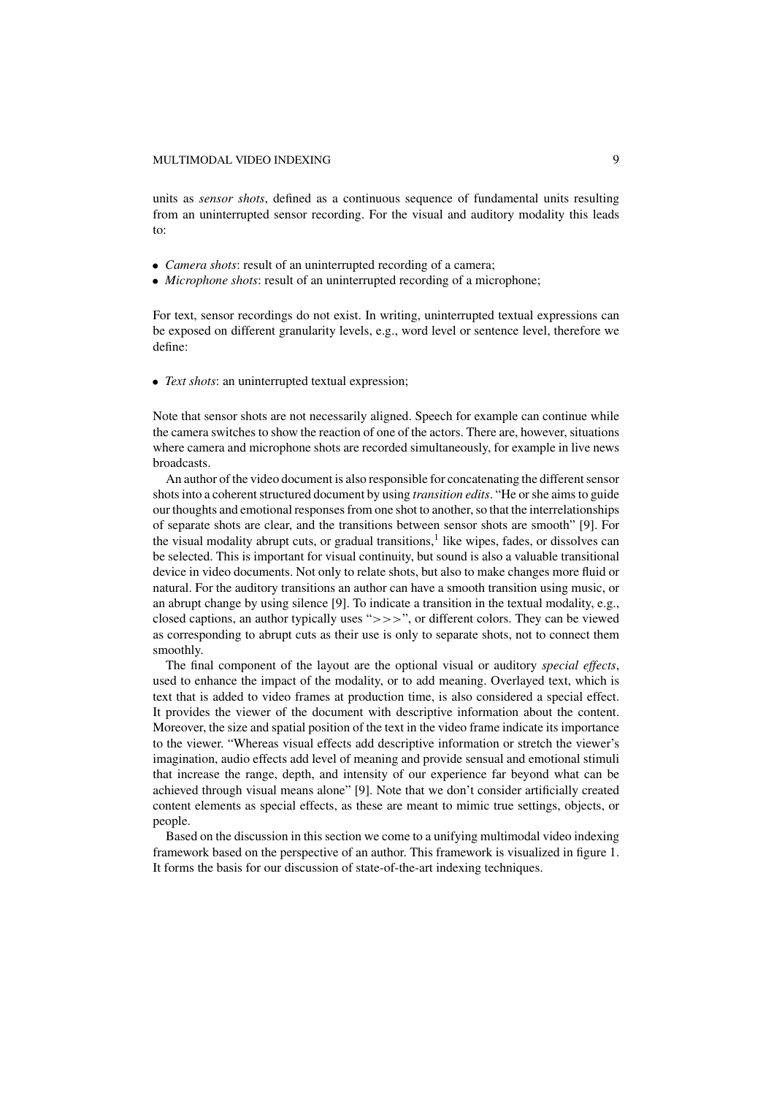units as *sensor shots*, defined as a continuous sequence of fundamental units resulting from an uninterrupted sensor recording. For the visual and auditory modality this leads to:

- *Camera shots*: result of an uninterrupted recording of a camera;
- *Microphone shots*: result of an uninterrupted recording of a microphone;

For text, sensor recordings do not exist. In writing, uninterrupted textual expressions can be exposed on different granularity levels, e.g., word level or sentence level, therefore we define:

• *Text shots*: an uninterrupted textual expression;

Note that sensor shots are not necessarily aligned. Speech for example can continue while the camera switches to show the reaction of one of the actors. There are, however, situations where camera and microphone shots are recorded simultaneously, for example in live news broadcasts.

An author of the video document is also responsible for concatenating the different sensor shots into a coherent structured document by using *transition edits*. "He or she aims to guide our thoughts and emotional responses from one shot to another, so that the interrelationships of separate shots are clear, and the transitions between sensor shots are smooth" [9]. For the visual modality abrupt cuts, or gradual transitions,<sup>1</sup> like wipes, fades, or dissolves can be selected. This is important for visual continuity, but sound is also a valuable transitional device in video documents. Not only to relate shots, but also to make changes more fluid or natural. For the auditory transitions an author can have a smooth transition using music, or an abrupt change by using silence [9]. To indicate a transition in the textual modality, e.g., closed captions, an author typically uses ">>>", or different colors. They can be viewed as corresponding to abrupt cuts as their use is only to separate shots, not to connect them smoothly.

The final component of the layout are the optional visual or auditory *special effects*, used to enhance the impact of the modality, or to add meaning. Overlayed text, which is text that is added to video frames at production time, is also considered a special effect. It provides the viewer of the document with descriptive information about the content. Moreover, the size and spatial position of the text in the video frame indicate its importance to the viewer. "Whereas visual effects add descriptive information or stretch the viewer's imagination, audio effects add level of meaning and provide sensual and emotional stimuli that increase the range, depth, and intensity of our experience far beyond what can be achieved through visual means alone" [9]. Note that we don't consider artificially created content elements as special effects, as these are meant to mimic true settings, objects, or people.

Based on the discussion in this section we come to a unifying multimodal video indexing framework based on the perspective of an author. This framework is visualized in figure 1. It forms the basis for our discussion of state-of-the-art indexing techniques.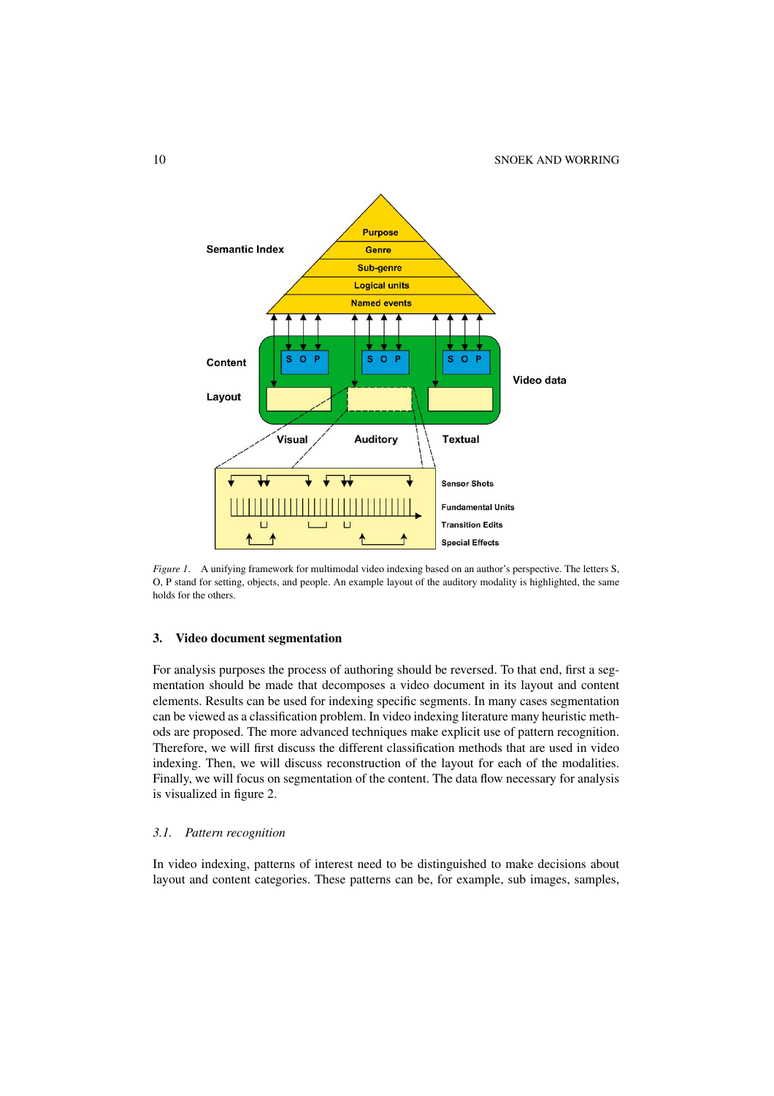

*Figure 1.* A unifying framework for multimodal video indexing based on an author's perspective. The letters S, O, P stand for setting, objects, and people. An example layout of the auditory modality is highlighted, the same holds for the others.

## **3. Video document segmentation**

For analysis purposes the process of authoring should be reversed. To that end, first a segmentation should be made that decomposes a video document in its layout and content elements. Results can be used for indexing specific segments. In many cases segmentation can be viewed as a classification problem. In video indexing literature many heuristic methods are proposed. The more advanced techniques make explicit use of pattern recognition. Therefore, we will first discuss the different classification methods that are used in video indexing. Then, we will discuss reconstruction of the layout for each of the modalities. Finally, we will focus on segmentation of the content. The data flow necessary for analysis is visualized in figure 2.

# *3.1. Pattern recognition*

In video indexing, patterns of interest need to be distinguished to make decisions about layout and content categories. These patterns can be, for example, sub images, samples,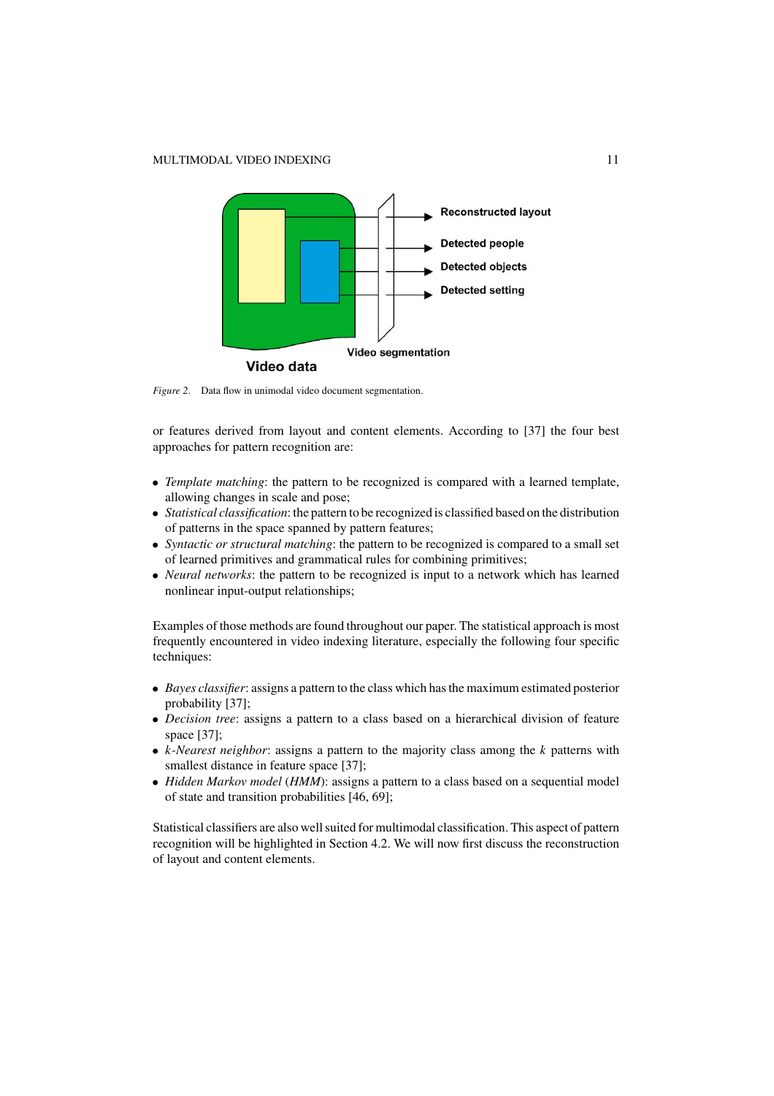

*Figure 2*. Data flow in unimodal video document segmentation.

or features derived from layout and content elements. According to [37] the four best approaches for pattern recognition are:

- *Template matching*: the pattern to be recognized is compared with a learned template, allowing changes in scale and pose;
- *Statistical classification*: the pattern to be recognized is classified based on the distribution of patterns in the space spanned by pattern features;
- *Syntactic or structural matching*: the pattern to be recognized is compared to a small set of learned primitives and grammatical rules for combining primitives;
- *Neural networks*: the pattern to be recognized is input to a network which has learned nonlinear input-output relationships;

Examples of those methods are found throughout our paper. The statistical approach is most frequently encountered in video indexing literature, especially the following four specific techniques:

- *Bayes classifier*: assigns a pattern to the class which has the maximum estimated posterior probability [37];
- *Decision tree*: assigns a pattern to a class based on a hierarchical division of feature space [37];
- *k-Nearest neighbor*: assigns a pattern to the majority class among the *k* patterns with smallest distance in feature space [37];
- *Hidden Markov model* (*HMM*): assigns a pattern to a class based on a sequential model of state and transition probabilities [46, 69];

Statistical classifiers are also well suited for multimodal classification. This aspect of pattern recognition will be highlighted in Section 4.2. We will now first discuss the reconstruction of layout and content elements.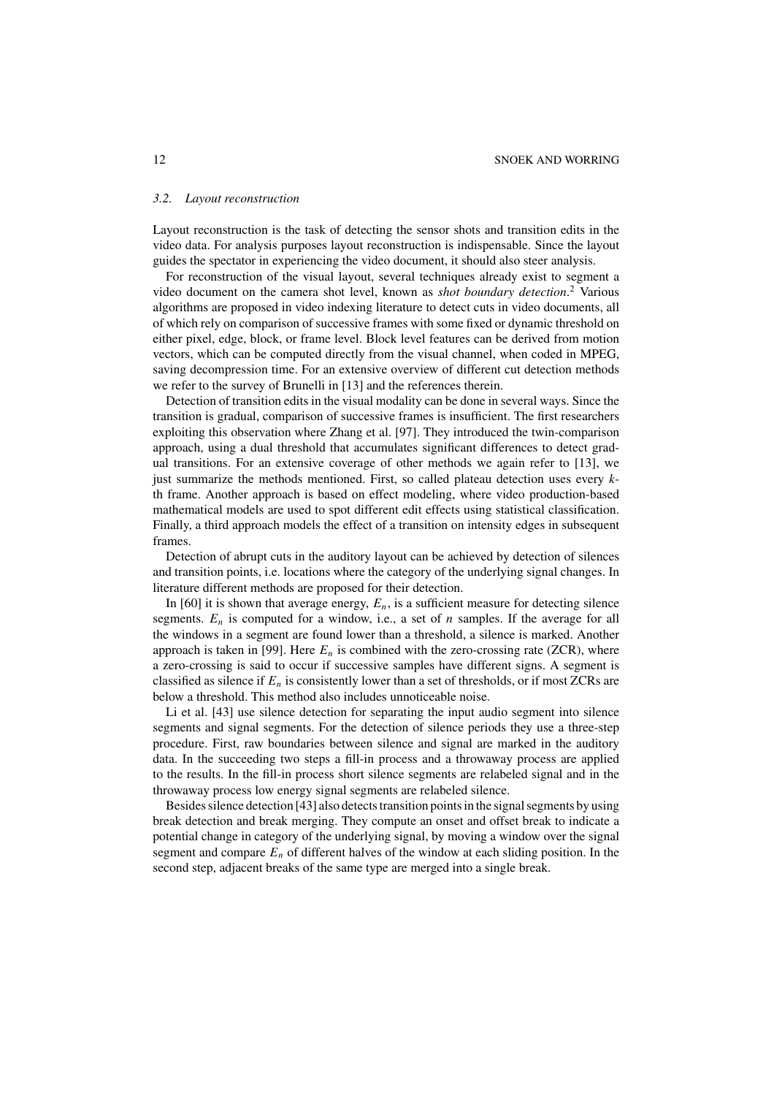## *3.2. Layout reconstruction*

Layout reconstruction is the task of detecting the sensor shots and transition edits in the video data. For analysis purposes layout reconstruction is indispensable. Since the layout guides the spectator in experiencing the video document, it should also steer analysis.

For reconstruction of the visual layout, several techniques already exist to segment a video document on the camera shot level, known as *shot boundary detection*. <sup>2</sup> Various algorithms are proposed in video indexing literature to detect cuts in video documents, all of which rely on comparison of successive frames with some fixed or dynamic threshold on either pixel, edge, block, or frame level. Block level features can be derived from motion vectors, which can be computed directly from the visual channel, when coded in MPEG, saving decompression time. For an extensive overview of different cut detection methods we refer to the survey of Brunelli in [13] and the references therein.

Detection of transition edits in the visual modality can be done in several ways. Since the transition is gradual, comparison of successive frames is insufficient. The first researchers exploiting this observation where Zhang et al. [97]. They introduced the twin-comparison approach, using a dual threshold that accumulates significant differences to detect gradual transitions. For an extensive coverage of other methods we again refer to [13], we just summarize the methods mentioned. First, so called plateau detection uses every *k*th frame. Another approach is based on effect modeling, where video production-based mathematical models are used to spot different edit effects using statistical classification. Finally, a third approach models the effect of a transition on intensity edges in subsequent frames.

Detection of abrupt cuts in the auditory layout can be achieved by detection of silences and transition points, i.e. locations where the category of the underlying signal changes. In literature different methods are proposed for their detection.

In [60] it is shown that average energy,  $E_n$ , is a sufficient measure for detecting silence segments.  $E_n$  is computed for a window, i.e., a set of  $n$  samples. If the average for all the windows in a segment are found lower than a threshold, a silence is marked. Another approach is taken in [99]. Here  $E_n$  is combined with the zero-crossing rate (ZCR), where a zero-crossing is said to occur if successive samples have different signs. A segment is classified as silence if  $E_n$  is consistently lower than a set of thresholds, or if most ZCRs are below a threshold. This method also includes unnoticeable noise.

Li et al. [43] use silence detection for separating the input audio segment into silence segments and signal segments. For the detection of silence periods they use a three-step procedure. First, raw boundaries between silence and signal are marked in the auditory data. In the succeeding two steps a fill-in process and a throwaway process are applied to the results. In the fill-in process short silence segments are relabeled signal and in the throwaway process low energy signal segments are relabeled silence.

Besides silence detection [43] also detects transition points in the signal segments by using break detection and break merging. They compute an onset and offset break to indicate a potential change in category of the underlying signal, by moving a window over the signal segment and compare  $E_n$  of different halves of the window at each sliding position. In the second step, adjacent breaks of the same type are merged into a single break.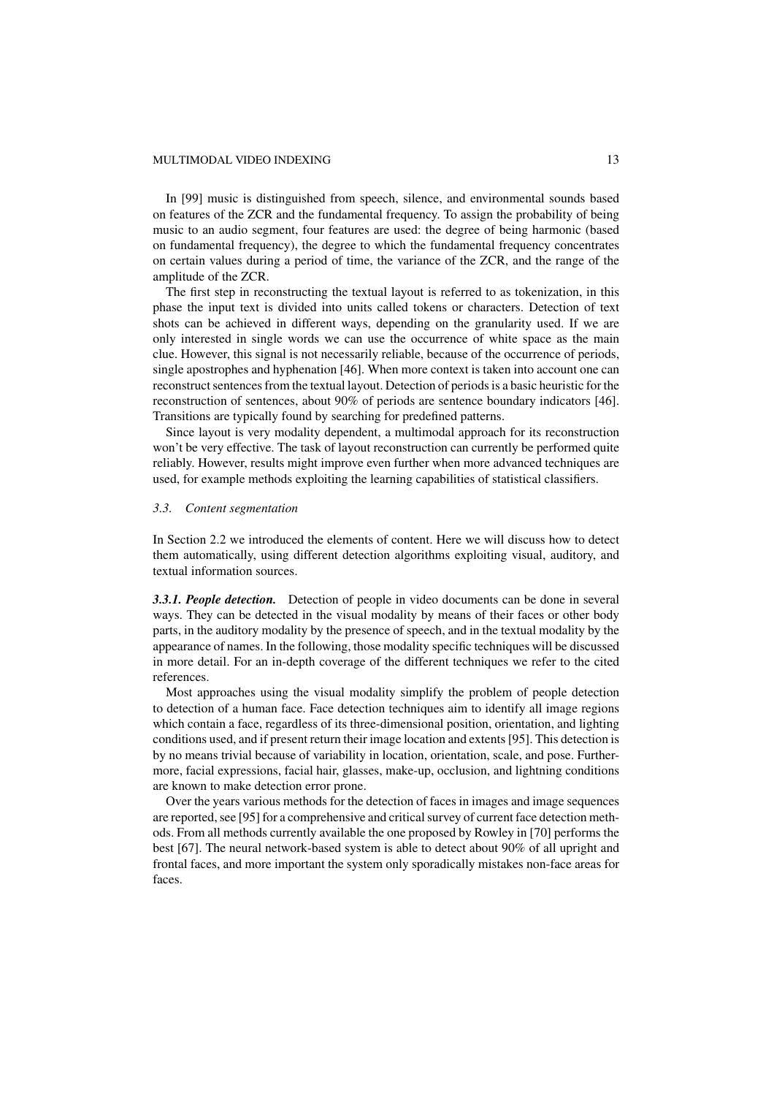In [99] music is distinguished from speech, silence, and environmental sounds based on features of the ZCR and the fundamental frequency. To assign the probability of being music to an audio segment, four features are used: the degree of being harmonic (based on fundamental frequency), the degree to which the fundamental frequency concentrates on certain values during a period of time, the variance of the ZCR, and the range of the amplitude of the ZCR.

The first step in reconstructing the textual layout is referred to as tokenization, in this phase the input text is divided into units called tokens or characters. Detection of text shots can be achieved in different ways, depending on the granularity used. If we are only interested in single words we can use the occurrence of white space as the main clue. However, this signal is not necessarily reliable, because of the occurrence of periods, single apostrophes and hyphenation [46]. When more context is taken into account one can reconstruct sentences from the textual layout. Detection of periods is a basic heuristic for the reconstruction of sentences, about 90% of periods are sentence boundary indicators [46]. Transitions are typically found by searching for predefined patterns.

Since layout is very modality dependent, a multimodal approach for its reconstruction won't be very effective. The task of layout reconstruction can currently be performed quite reliably. However, results might improve even further when more advanced techniques are used, for example methods exploiting the learning capabilities of statistical classifiers.

# *3.3. Content segmentation*

In Section 2.2 we introduced the elements of content. Here we will discuss how to detect them automatically, using different detection algorithms exploiting visual, auditory, and textual information sources.

*3.3.1. People detection.* Detection of people in video documents can be done in several ways. They can be detected in the visual modality by means of their faces or other body parts, in the auditory modality by the presence of speech, and in the textual modality by the appearance of names. In the following, those modality specific techniques will be discussed in more detail. For an in-depth coverage of the different techniques we refer to the cited references.

Most approaches using the visual modality simplify the problem of people detection to detection of a human face. Face detection techniques aim to identify all image regions which contain a face, regardless of its three-dimensional position, orientation, and lighting conditions used, and if present return their image location and extents [95]. This detection is by no means trivial because of variability in location, orientation, scale, and pose. Furthermore, facial expressions, facial hair, glasses, make-up, occlusion, and lightning conditions are known to make detection error prone.

Over the years various methods for the detection of faces in images and image sequences are reported, see [95] for a comprehensive and critical survey of current face detection methods. From all methods currently available the one proposed by Rowley in [70] performs the best [67]. The neural network-based system is able to detect about 90% of all upright and frontal faces, and more important the system only sporadically mistakes non-face areas for faces.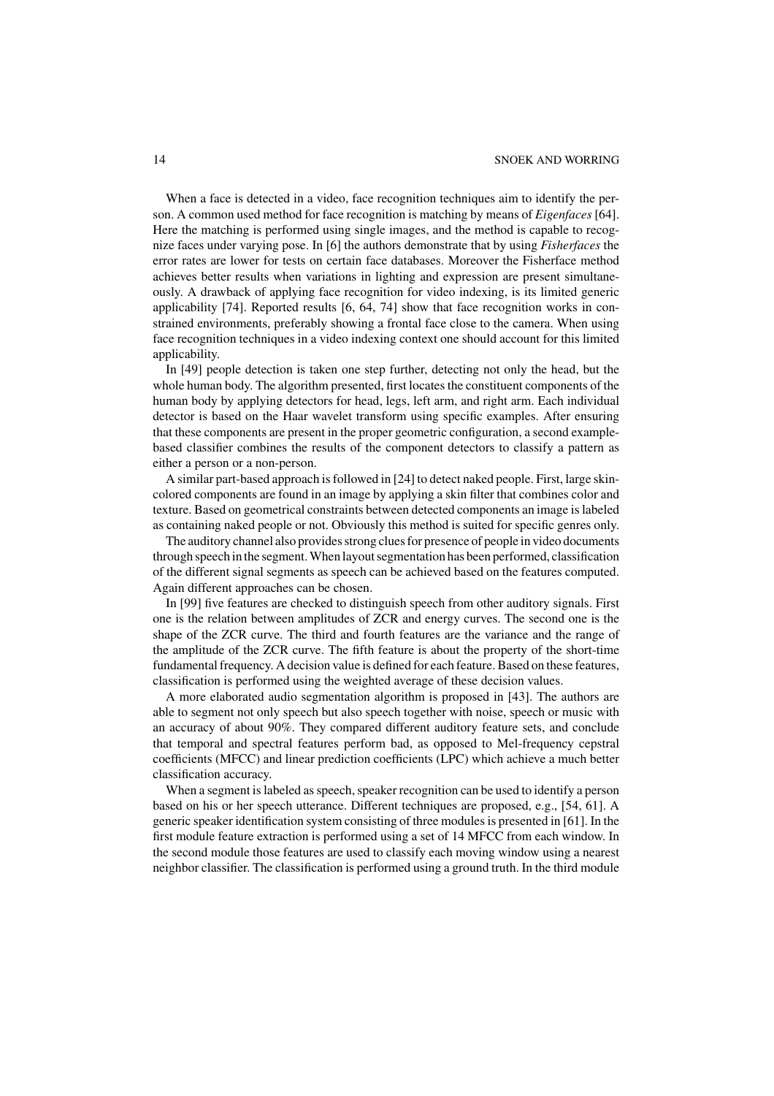When a face is detected in a video, face recognition techniques aim to identify the person. A common used method for face recognition is matching by means of *Eigenfaces* [64]. Here the matching is performed using single images, and the method is capable to recognize faces under varying pose. In [6] the authors demonstrate that by using *Fisherfaces* the error rates are lower for tests on certain face databases. Moreover the Fisherface method achieves better results when variations in lighting and expression are present simultaneously. A drawback of applying face recognition for video indexing, is its limited generic applicability [74]. Reported results [6, 64, 74] show that face recognition works in constrained environments, preferably showing a frontal face close to the camera. When using face recognition techniques in a video indexing context one should account for this limited applicability.

In [49] people detection is taken one step further, detecting not only the head, but the whole human body. The algorithm presented, first locates the constituent components of the human body by applying detectors for head, legs, left arm, and right arm. Each individual detector is based on the Haar wavelet transform using specific examples. After ensuring that these components are present in the proper geometric configuration, a second examplebased classifier combines the results of the component detectors to classify a pattern as either a person or a non-person.

A similar part-based approach is followed in [24] to detect naked people. First, large skincolored components are found in an image by applying a skin filter that combines color and texture. Based on geometrical constraints between detected components an image is labeled as containing naked people or not. Obviously this method is suited for specific genres only.

The auditory channel also provides strong clues for presence of people in video documents through speech in the segment. When layout segmentation has been performed, classification of the different signal segments as speech can be achieved based on the features computed. Again different approaches can be chosen.

In [99] five features are checked to distinguish speech from other auditory signals. First one is the relation between amplitudes of ZCR and energy curves. The second one is the shape of the ZCR curve. The third and fourth features are the variance and the range of the amplitude of the ZCR curve. The fifth feature is about the property of the short-time fundamental frequency. A decision value is defined for each feature. Based on these features, classification is performed using the weighted average of these decision values.

A more elaborated audio segmentation algorithm is proposed in [43]. The authors are able to segment not only speech but also speech together with noise, speech or music with an accuracy of about 90%. They compared different auditory feature sets, and conclude that temporal and spectral features perform bad, as opposed to Mel-frequency cepstral coefficients (MFCC) and linear prediction coefficients (LPC) which achieve a much better classification accuracy.

When a segment is labeled as speech, speaker recognition can be used to identify a person based on his or her speech utterance. Different techniques are proposed, e.g., [54, 61]. A generic speaker identification system consisting of three modules is presented in [61]. In the first module feature extraction is performed using a set of 14 MFCC from each window. In the second module those features are used to classify each moving window using a nearest neighbor classifier. The classification is performed using a ground truth. In the third module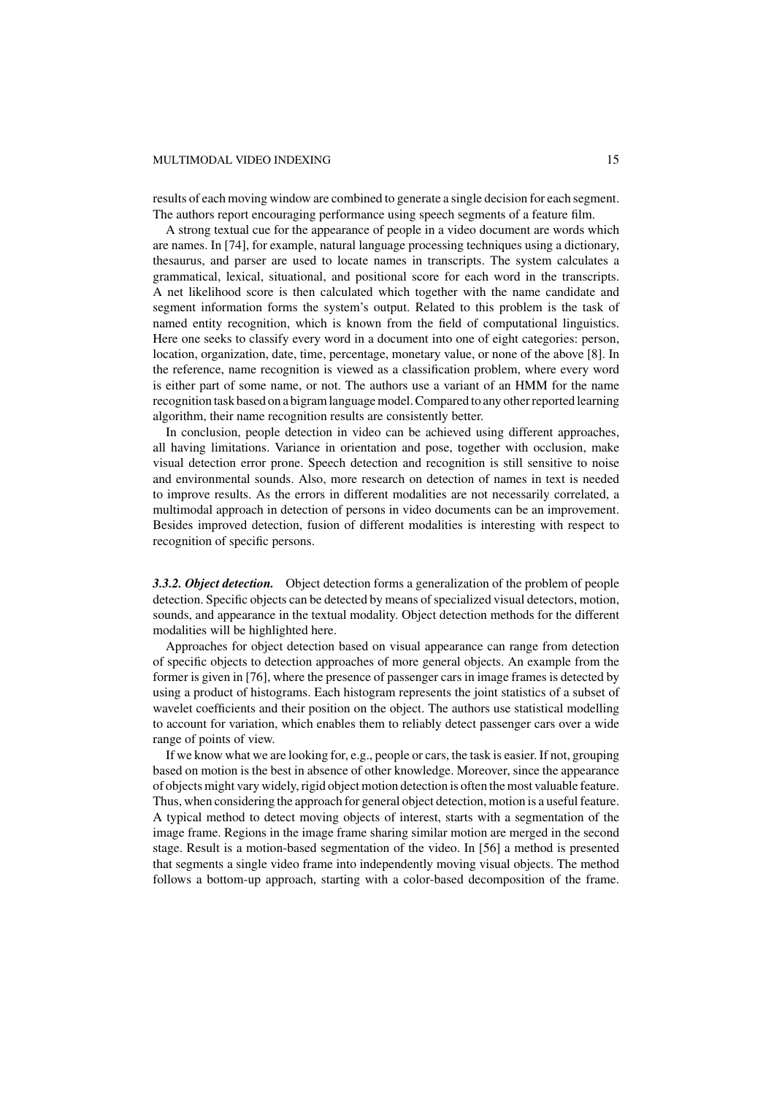results of each moving window are combined to generate a single decision for each segment. The authors report encouraging performance using speech segments of a feature film.

A strong textual cue for the appearance of people in a video document are words which are names. In [74], for example, natural language processing techniques using a dictionary, thesaurus, and parser are used to locate names in transcripts. The system calculates a grammatical, lexical, situational, and positional score for each word in the transcripts. A net likelihood score is then calculated which together with the name candidate and segment information forms the system's output. Related to this problem is the task of named entity recognition, which is known from the field of computational linguistics. Here one seeks to classify every word in a document into one of eight categories: person, location, organization, date, time, percentage, monetary value, or none of the above [8]. In the reference, name recognition is viewed as a classification problem, where every word is either part of some name, or not. The authors use a variant of an HMM for the name recognition task based on a bigram language model. Compared to any other reported learning algorithm, their name recognition results are consistently better.

In conclusion, people detection in video can be achieved using different approaches, all having limitations. Variance in orientation and pose, together with occlusion, make visual detection error prone. Speech detection and recognition is still sensitive to noise and environmental sounds. Also, more research on detection of names in text is needed to improve results. As the errors in different modalities are not necessarily correlated, a multimodal approach in detection of persons in video documents can be an improvement. Besides improved detection, fusion of different modalities is interesting with respect to recognition of specific persons.

*3.3.2. Object detection.* Object detection forms a generalization of the problem of people detection. Specific objects can be detected by means of specialized visual detectors, motion, sounds, and appearance in the textual modality. Object detection methods for the different modalities will be highlighted here.

Approaches for object detection based on visual appearance can range from detection of specific objects to detection approaches of more general objects. An example from the former is given in [76], where the presence of passenger cars in image frames is detected by using a product of histograms. Each histogram represents the joint statistics of a subset of wavelet coefficients and their position on the object. The authors use statistical modelling to account for variation, which enables them to reliably detect passenger cars over a wide range of points of view.

If we know what we are looking for, e.g., people or cars, the task is easier. If not, grouping based on motion is the best in absence of other knowledge. Moreover, since the appearance of objects might vary widely, rigid object motion detection is often the most valuable feature. Thus, when considering the approach for general object detection, motion is a useful feature. A typical method to detect moving objects of interest, starts with a segmentation of the image frame. Regions in the image frame sharing similar motion are merged in the second stage. Result is a motion-based segmentation of the video. In [56] a method is presented that segments a single video frame into independently moving visual objects. The method follows a bottom-up approach, starting with a color-based decomposition of the frame.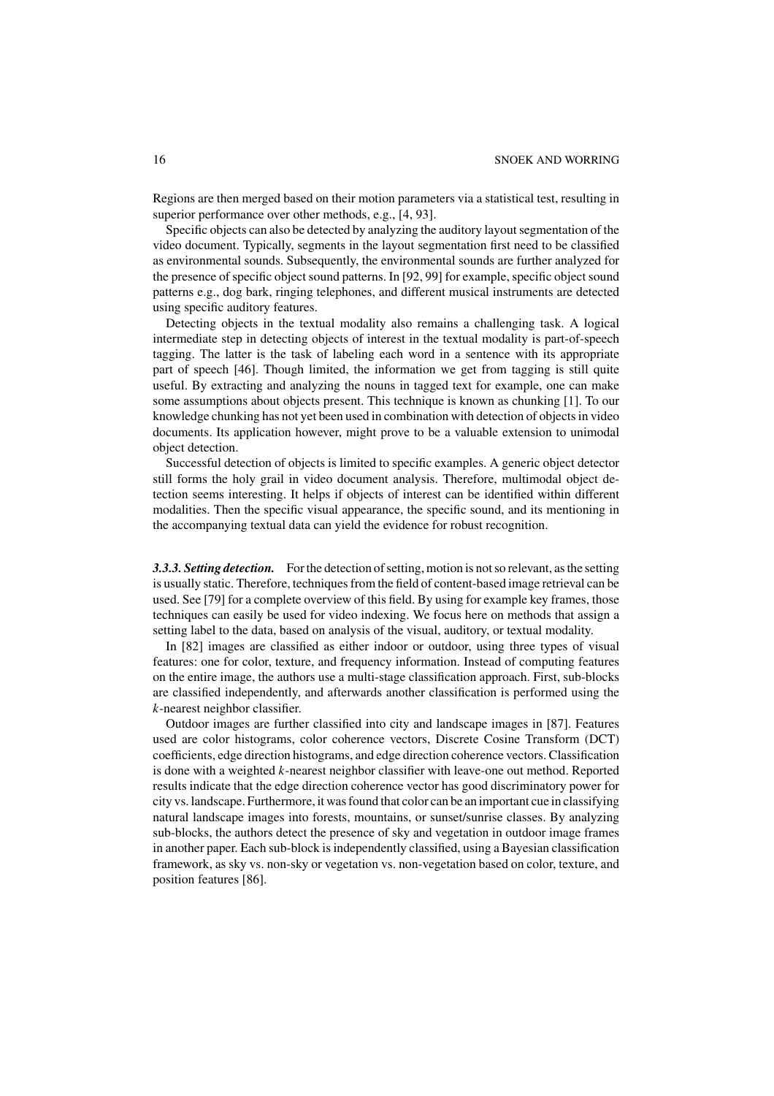Regions are then merged based on their motion parameters via a statistical test, resulting in superior performance over other methods, e.g., [4, 93].

Specific objects can also be detected by analyzing the auditory layout segmentation of the video document. Typically, segments in the layout segmentation first need to be classified as environmental sounds. Subsequently, the environmental sounds are further analyzed for the presence of specific object sound patterns. In [92, 99] for example, specific object sound patterns e.g., dog bark, ringing telephones, and different musical instruments are detected using specific auditory features.

Detecting objects in the textual modality also remains a challenging task. A logical intermediate step in detecting objects of interest in the textual modality is part-of-speech tagging. The latter is the task of labeling each word in a sentence with its appropriate part of speech [46]. Though limited, the information we get from tagging is still quite useful. By extracting and analyzing the nouns in tagged text for example, one can make some assumptions about objects present. This technique is known as chunking [1]. To our knowledge chunking has not yet been used in combination with detection of objects in video documents. Its application however, might prove to be a valuable extension to unimodal object detection.

Successful detection of objects is limited to specific examples. A generic object detector still forms the holy grail in video document analysis. Therefore, multimodal object detection seems interesting. It helps if objects of interest can be identified within different modalities. Then the specific visual appearance, the specific sound, and its mentioning in the accompanying textual data can yield the evidence for robust recognition.

*3.3.3. Setting detection.* Forthe detection of setting, motion is not so relevant, as the setting is usually static. Therefore, techniques from the field of content-based image retrieval can be used. See [79] for a complete overview of this field. By using for example key frames, those techniques can easily be used for video indexing. We focus here on methods that assign a setting label to the data, based on analysis of the visual, auditory, or textual modality.

In [82] images are classified as either indoor or outdoor, using three types of visual features: one for color, texture, and frequency information. Instead of computing features on the entire image, the authors use a multi-stage classification approach. First, sub-blocks are classified independently, and afterwards another classification is performed using the *k*-nearest neighbor classifier.

Outdoor images are further classified into city and landscape images in [87]. Features used are color histograms, color coherence vectors, Discrete Cosine Transform (DCT) coefficients, edge direction histograms, and edge direction coherence vectors. Classification is done with a weighted *k*-nearest neighbor classifier with leave-one out method. Reported results indicate that the edge direction coherence vector has good discriminatory power for city vs. landscape. Furthermore, it was found that color can be an important cue in classifying natural landscape images into forests, mountains, or sunset/sunrise classes. By analyzing sub-blocks, the authors detect the presence of sky and vegetation in outdoor image frames in another paper. Each sub-block is independently classified, using a Bayesian classification framework, as sky vs. non-sky or vegetation vs. non-vegetation based on color, texture, and position features [86].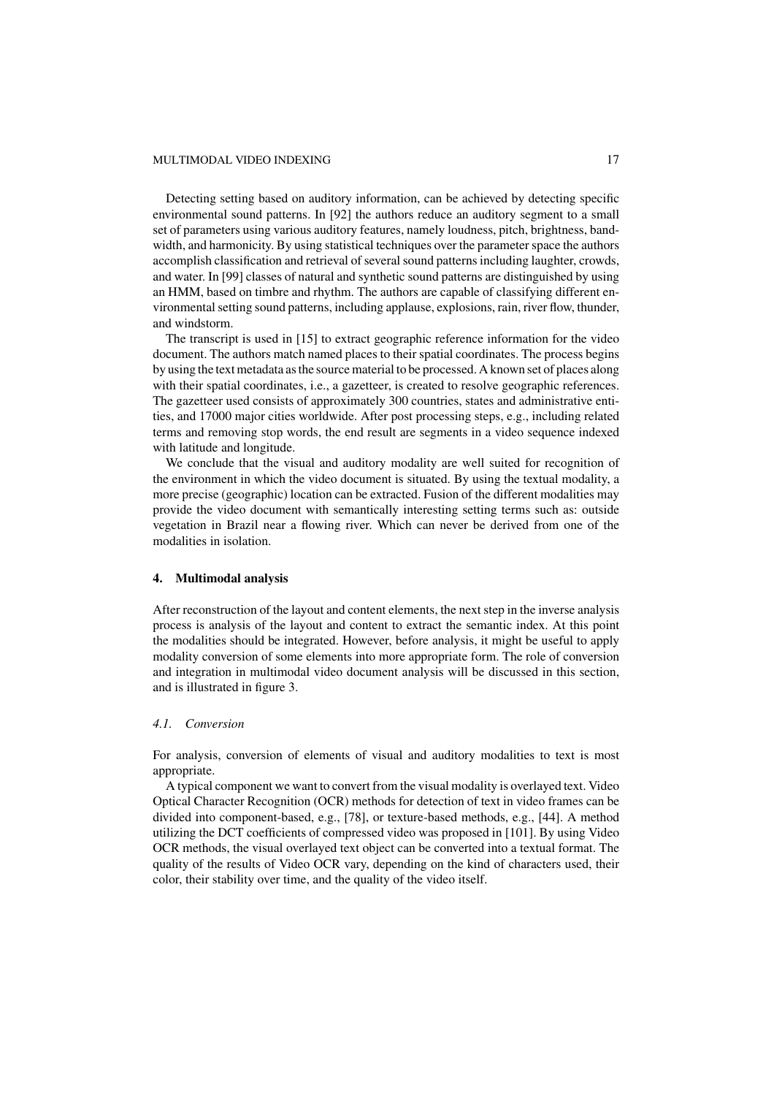Detecting setting based on auditory information, can be achieved by detecting specific environmental sound patterns. In [92] the authors reduce an auditory segment to a small set of parameters using various auditory features, namely loudness, pitch, brightness, bandwidth, and harmonicity. By using statistical techniques over the parameter space the authors accomplish classification and retrieval of several sound patterns including laughter, crowds, and water. In [99] classes of natural and synthetic sound patterns are distinguished by using an HMM, based on timbre and rhythm. The authors are capable of classifying different environmental setting sound patterns, including applause, explosions, rain, river flow, thunder, and windstorm.

The transcript is used in [15] to extract geographic reference information for the video document. The authors match named places to their spatial coordinates. The process begins by using the text metadata as the source material to be processed. A known set of places along with their spatial coordinates, i.e., a gazetteer, is created to resolve geographic references. The gazetteer used consists of approximately 300 countries, states and administrative entities, and 17000 major cities worldwide. After post processing steps, e.g., including related terms and removing stop words, the end result are segments in a video sequence indexed with latitude and longitude.

We conclude that the visual and auditory modality are well suited for recognition of the environment in which the video document is situated. By using the textual modality, a more precise (geographic) location can be extracted. Fusion of the different modalities may provide the video document with semantically interesting setting terms such as: outside vegetation in Brazil near a flowing river. Which can never be derived from one of the modalities in isolation.

# **4. Multimodal analysis**

After reconstruction of the layout and content elements, the next step in the inverse analysis process is analysis of the layout and content to extract the semantic index. At this point the modalities should be integrated. However, before analysis, it might be useful to apply modality conversion of some elements into more appropriate form. The role of conversion and integration in multimodal video document analysis will be discussed in this section, and is illustrated in figure 3.

## *4.1. Conversion*

For analysis, conversion of elements of visual and auditory modalities to text is most appropriate.

A typical component we want to convert from the visual modality is overlayed text. Video Optical Character Recognition (OCR) methods for detection of text in video frames can be divided into component-based, e.g., [78], or texture-based methods, e.g., [44]. A method utilizing the DCT coefficients of compressed video was proposed in [101]. By using Video OCR methods, the visual overlayed text object can be converted into a textual format. The quality of the results of Video OCR vary, depending on the kind of characters used, their color, their stability over time, and the quality of the video itself.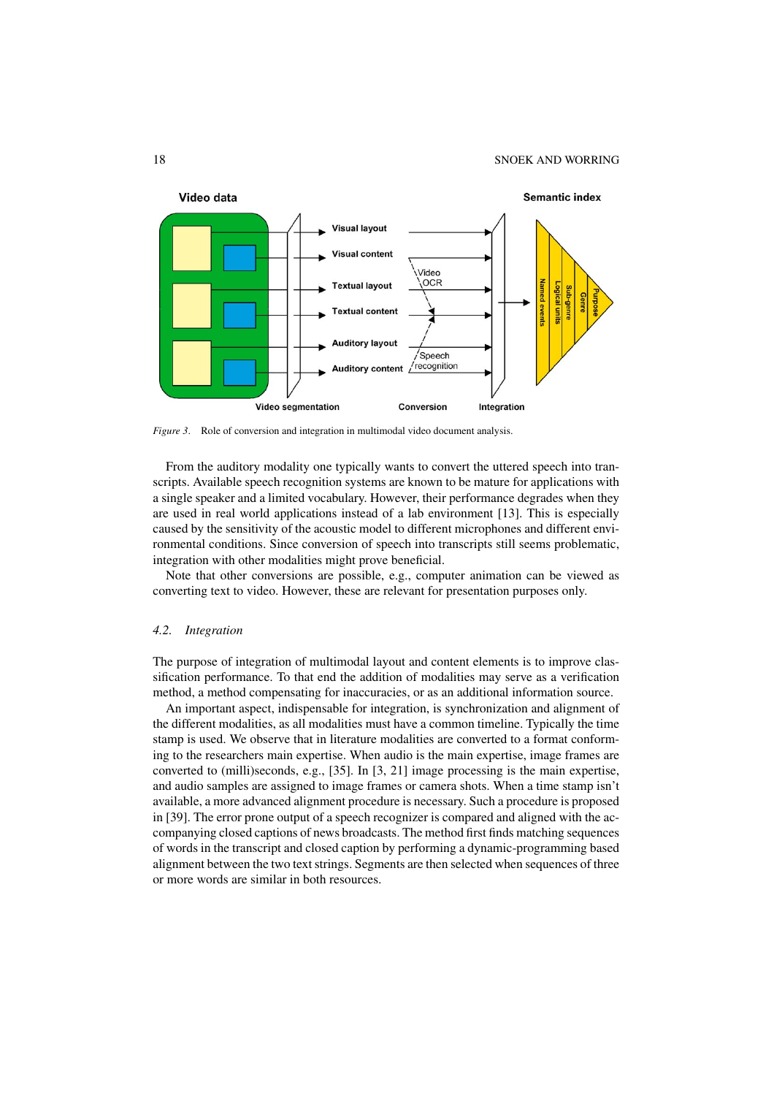

*Figure 3*. Role of conversion and integration in multimodal video document analysis.

From the auditory modality one typically wants to convert the uttered speech into transcripts. Available speech recognition systems are known to be mature for applications with a single speaker and a limited vocabulary. However, their performance degrades when they are used in real world applications instead of a lab environment [13]. This is especially caused by the sensitivity of the acoustic model to different microphones and different environmental conditions. Since conversion of speech into transcripts still seems problematic, integration with other modalities might prove beneficial.

Note that other conversions are possible, e.g., computer animation can be viewed as converting text to video. However, these are relevant for presentation purposes only.

## *4.2. Integration*

The purpose of integration of multimodal layout and content elements is to improve classification performance. To that end the addition of modalities may serve as a verification method, a method compensating for inaccuracies, or as an additional information source.

An important aspect, indispensable for integration, is synchronization and alignment of the different modalities, as all modalities must have a common timeline. Typically the time stamp is used. We observe that in literature modalities are converted to a format conforming to the researchers main expertise. When audio is the main expertise, image frames are converted to (milli)seconds, e.g., [35]. In [3, 21] image processing is the main expertise, and audio samples are assigned to image frames or camera shots. When a time stamp isn't available, a more advanced alignment procedure is necessary. Such a procedure is proposed in [39]. The error prone output of a speech recognizer is compared and aligned with the accompanying closed captions of news broadcasts. The method first finds matching sequences of words in the transcript and closed caption by performing a dynamic-programming based alignment between the two text strings. Segments are then selected when sequences of three or more words are similar in both resources.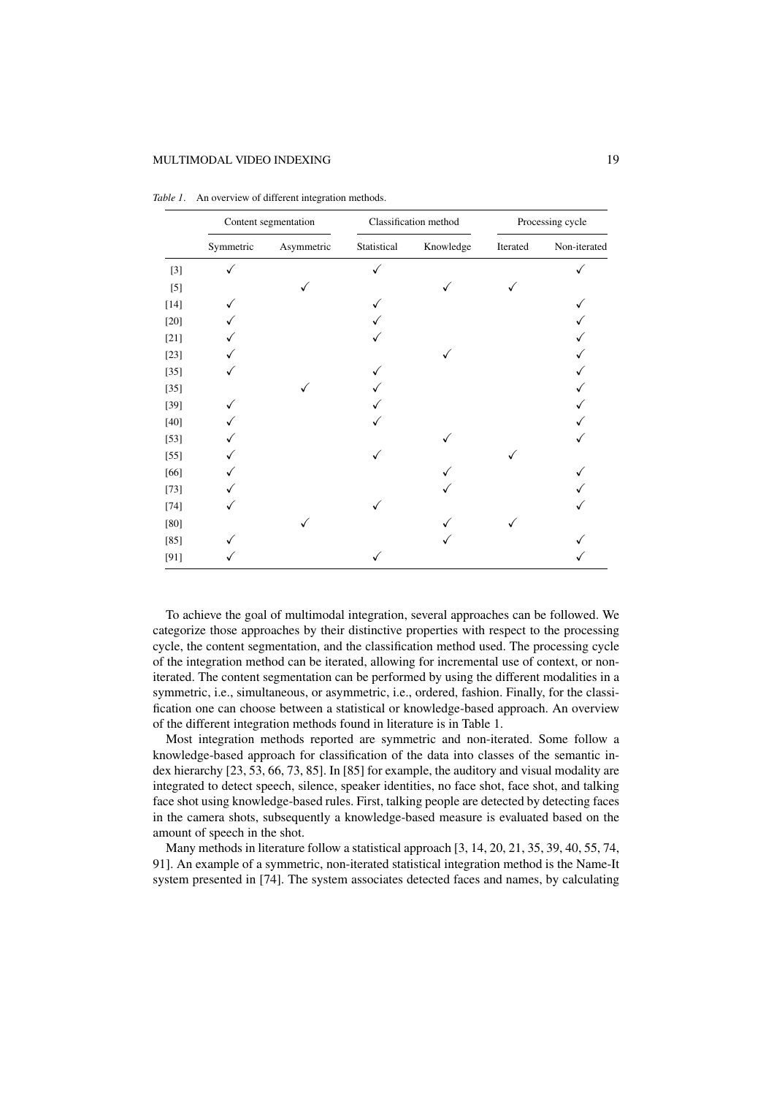|                   | Content segmentation |            | Classification method |           | Processing cycle |              |
|-------------------|----------------------|------------|-----------------------|-----------|------------------|--------------|
|                   | Symmetric            | Asymmetric | Statistical           | Knowledge | Iterated         | Non-iterated |
| $\left[ 3\right]$ |                      |            |                       |           |                  |              |
| $[5]$             |                      |            |                       |           |                  |              |
| $[14]$            |                      |            |                       |           |                  |              |
| $[20]$            |                      |            |                       |           |                  |              |
| $[21]$            |                      |            |                       |           |                  |              |
| $[23]$            |                      |            |                       |           |                  |              |
| $[35]$            |                      |            |                       |           |                  |              |
| $[35]$            |                      |            |                       |           |                  |              |
| $[39]$            |                      |            |                       |           |                  |              |
| $[40]$            |                      |            |                       |           |                  |              |
| $[53]$            |                      |            |                       |           |                  |              |
| $[55]$            |                      |            |                       |           |                  |              |
| $[66]$            |                      |            |                       |           |                  |              |
| $[73]$            |                      |            |                       |           |                  |              |
| $[74]$            |                      |            |                       |           |                  |              |
| [80]              |                      |            |                       |           |                  |              |
| $[85]$            |                      |            |                       |           |                  |              |
| [91]              |                      |            |                       |           |                  |              |

*Table 1*. An overview of different integration methods.

To achieve the goal of multimodal integration, several approaches can be followed. We categorize those approaches by their distinctive properties with respect to the processing cycle, the content segmentation, and the classification method used. The processing cycle of the integration method can be iterated, allowing for incremental use of context, or noniterated. The content segmentation can be performed by using the different modalities in a symmetric, i.e., simultaneous, or asymmetric, i.e., ordered, fashion. Finally, for the classification one can choose between a statistical or knowledge-based approach. An overview of the different integration methods found in literature is in Table 1.

Most integration methods reported are symmetric and non-iterated. Some follow a knowledge-based approach for classification of the data into classes of the semantic index hierarchy [23, 53, 66, 73, 85]. In [85] for example, the auditory and visual modality are integrated to detect speech, silence, speaker identities, no face shot, face shot, and talking face shot using knowledge-based rules. First, talking people are detected by detecting faces in the camera shots, subsequently a knowledge-based measure is evaluated based on the amount of speech in the shot.

Many methods in literature follow a statistical approach [3, 14, 20, 21, 35, 39, 40, 55, 74, 91]. An example of a symmetric, non-iterated statistical integration method is the Name-It system presented in [74]. The system associates detected faces and names, by calculating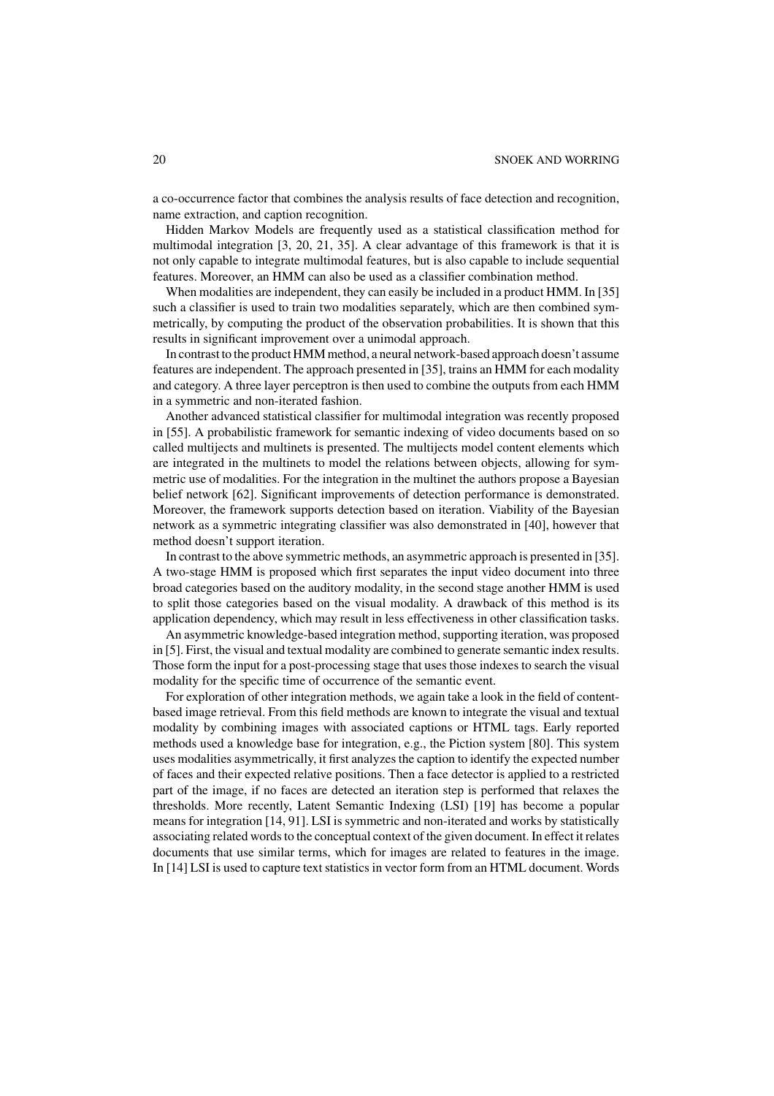a co-occurrence factor that combines the analysis results of face detection and recognition, name extraction, and caption recognition.

Hidden Markov Models are frequently used as a statistical classification method for multimodal integration [3, 20, 21, 35]. A clear advantage of this framework is that it is not only capable to integrate multimodal features, but is also capable to include sequential features. Moreover, an HMM can also be used as a classifier combination method.

When modalities are independent, they can easily be included in a product HMM. In [35] such a classifier is used to train two modalities separately, which are then combined symmetrically, by computing the product of the observation probabilities. It is shown that this results in significant improvement over a unimodal approach.

In contrast to the product HMM method, a neural network-based approach doesn't assume features are independent. The approach presented in [35], trains an HMM for each modality and category. A three layer perceptron is then used to combine the outputs from each HMM in a symmetric and non-iterated fashion.

Another advanced statistical classifier for multimodal integration was recently proposed in [55]. A probabilistic framework for semantic indexing of video documents based on so called multijects and multinets is presented. The multijects model content elements which are integrated in the multinets to model the relations between objects, allowing for symmetric use of modalities. For the integration in the multinet the authors propose a Bayesian belief network [62]. Significant improvements of detection performance is demonstrated. Moreover, the framework supports detection based on iteration. Viability of the Bayesian network as a symmetric integrating classifier was also demonstrated in [40], however that method doesn't support iteration.

In contrast to the above symmetric methods, an asymmetric approach is presented in [35]. A two-stage HMM is proposed which first separates the input video document into three broad categories based on the auditory modality, in the second stage another HMM is used to split those categories based on the visual modality. A drawback of this method is its application dependency, which may result in less effectiveness in other classification tasks.

An asymmetric knowledge-based integration method, supporting iteration, was proposed in [5]. First, the visual and textual modality are combined to generate semantic index results. Those form the input for a post-processing stage that uses those indexes to search the visual modality for the specific time of occurrence of the semantic event.

For exploration of other integration methods, we again take a look in the field of contentbased image retrieval. From this field methods are known to integrate the visual and textual modality by combining images with associated captions or HTML tags. Early reported methods used a knowledge base for integration, e.g., the Piction system [80]. This system uses modalities asymmetrically, it first analyzes the caption to identify the expected number of faces and their expected relative positions. Then a face detector is applied to a restricted part of the image, if no faces are detected an iteration step is performed that relaxes the thresholds. More recently, Latent Semantic Indexing (LSI) [19] has become a popular means for integration [14, 91]. LSI is symmetric and non-iterated and works by statistically associating related words to the conceptual context of the given document. In effect it relates documents that use similar terms, which for images are related to features in the image. In [14] LSI is used to capture text statistics in vector form from an HTML document. Words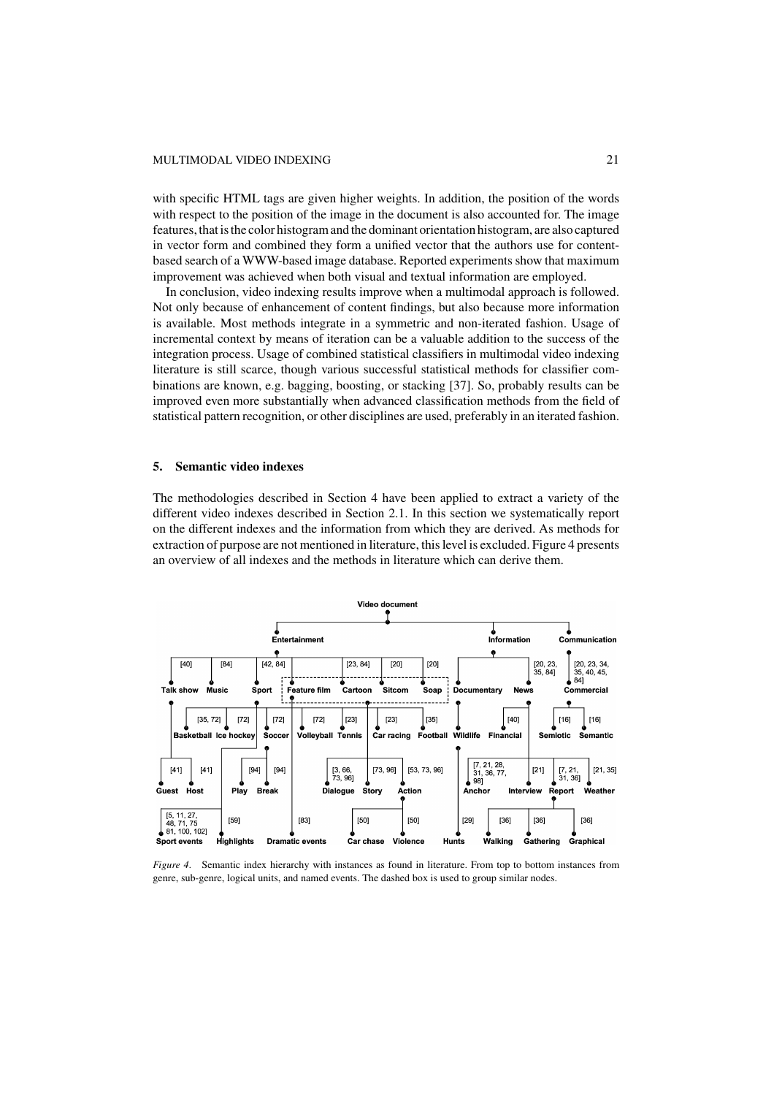with specific HTML tags are given higher weights. In addition, the position of the words with respect to the position of the image in the document is also accounted for. The image features, that is the color histogram and the dominant orientation histogram, are also captured in vector form and combined they form a unified vector that the authors use for contentbased search of a WWW-based image database. Reported experiments show that maximum improvement was achieved when both visual and textual information are employed.

In conclusion, video indexing results improve when a multimodal approach is followed. Not only because of enhancement of content findings, but also because more information is available. Most methods integrate in a symmetric and non-iterated fashion. Usage of incremental context by means of iteration can be a valuable addition to the success of the integration process. Usage of combined statistical classifiers in multimodal video indexing literature is still scarce, though various successful statistical methods for classifier combinations are known, e.g. bagging, boosting, or stacking [37]. So, probably results can be improved even more substantially when advanced classification methods from the field of statistical pattern recognition, or other disciplines are used, preferably in an iterated fashion.

## **5. Semantic video indexes**

The methodologies described in Section 4 have been applied to extract a variety of the different video indexes described in Section 2.1. In this section we systematically report on the different indexes and the information from which they are derived. As methods for extraction of purpose are not mentioned in literature, this level is excluded. Figure 4 presents an overview of all indexes and the methods in literature which can derive them.



*Figure 4*. Semantic index hierarchy with instances as found in literature. From top to bottom instances from genre, sub-genre, logical units, and named events. The dashed box is used to group similar nodes.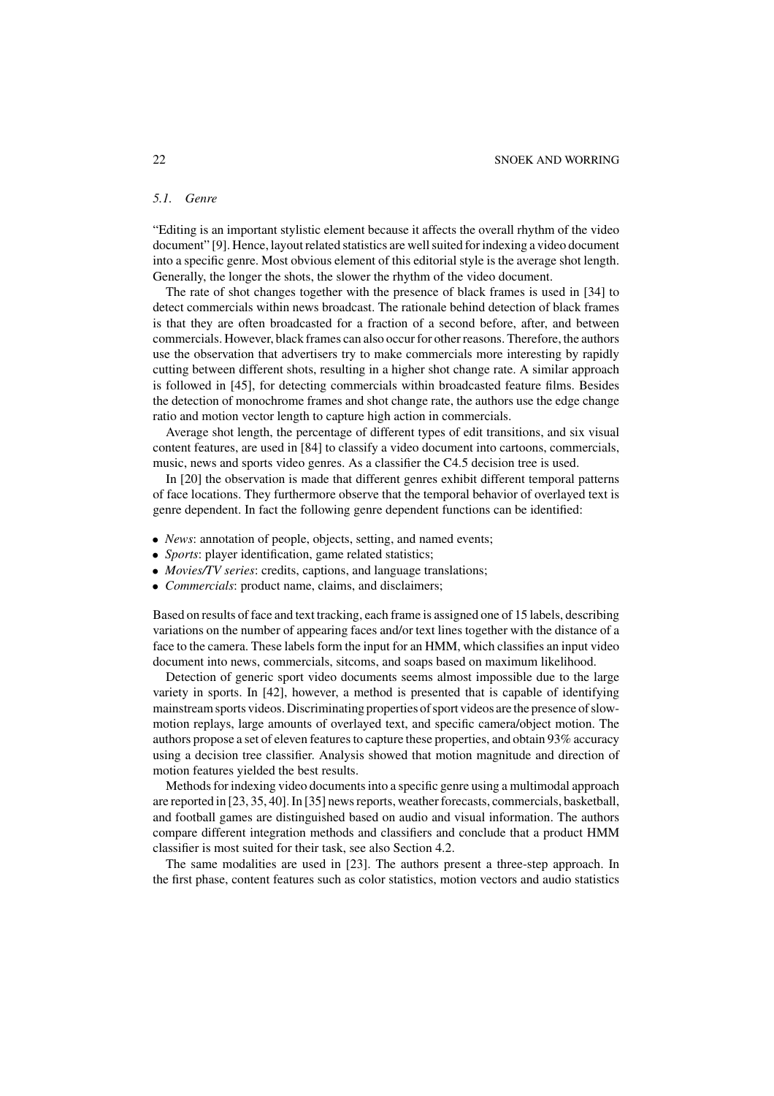## *5.1. Genre*

"Editing is an important stylistic element because it affects the overall rhythm of the video document" [9]. Hence, layout related statistics are well suited for indexing a video document into a specific genre. Most obvious element of this editorial style is the average shot length. Generally, the longer the shots, the slower the rhythm of the video document.

The rate of shot changes together with the presence of black frames is used in [34] to detect commercials within news broadcast. The rationale behind detection of black frames is that they are often broadcasted for a fraction of a second before, after, and between commercials. However, black frames can also occur for other reasons. Therefore, the authors use the observation that advertisers try to make commercials more interesting by rapidly cutting between different shots, resulting in a higher shot change rate. A similar approach is followed in [45], for detecting commercials within broadcasted feature films. Besides the detection of monochrome frames and shot change rate, the authors use the edge change ratio and motion vector length to capture high action in commercials.

Average shot length, the percentage of different types of edit transitions, and six visual content features, are used in [84] to classify a video document into cartoons, commercials, music, news and sports video genres. As a classifier the C4.5 decision tree is used.

In [20] the observation is made that different genres exhibit different temporal patterns of face locations. They furthermore observe that the temporal behavior of overlayed text is genre dependent. In fact the following genre dependent functions can be identified:

- *News*: annotation of people, objects, setting, and named events;
- *Sports*: player identification, game related statistics;
- *Movies/TV series*: credits, captions, and language translations;
- *Commercials*: product name, claims, and disclaimers;

Based on results of face and text tracking, each frame is assigned one of 15 labels, describing variations on the number of appearing faces and/or text lines together with the distance of a face to the camera. These labels form the input for an HMM, which classifies an input video document into news, commercials, sitcoms, and soaps based on maximum likelihood.

Detection of generic sport video documents seems almost impossible due to the large variety in sports. In [42], however, a method is presented that is capable of identifying mainstream sports videos. Discriminating properties of sport videos are the presence of slowmotion replays, large amounts of overlayed text, and specific camera/object motion. The authors propose a set of eleven features to capture these properties, and obtain 93% accuracy using a decision tree classifier. Analysis showed that motion magnitude and direction of motion features yielded the best results.

Methods for indexing video documents into a specific genre using a multimodal approach are reported in [23, 35, 40]. In [35] news reports, weather forecasts, commercials, basketball, and football games are distinguished based on audio and visual information. The authors compare different integration methods and classifiers and conclude that a product HMM classifier is most suited for their task, see also Section 4.2.

The same modalities are used in [23]. The authors present a three-step approach. In the first phase, content features such as color statistics, motion vectors and audio statistics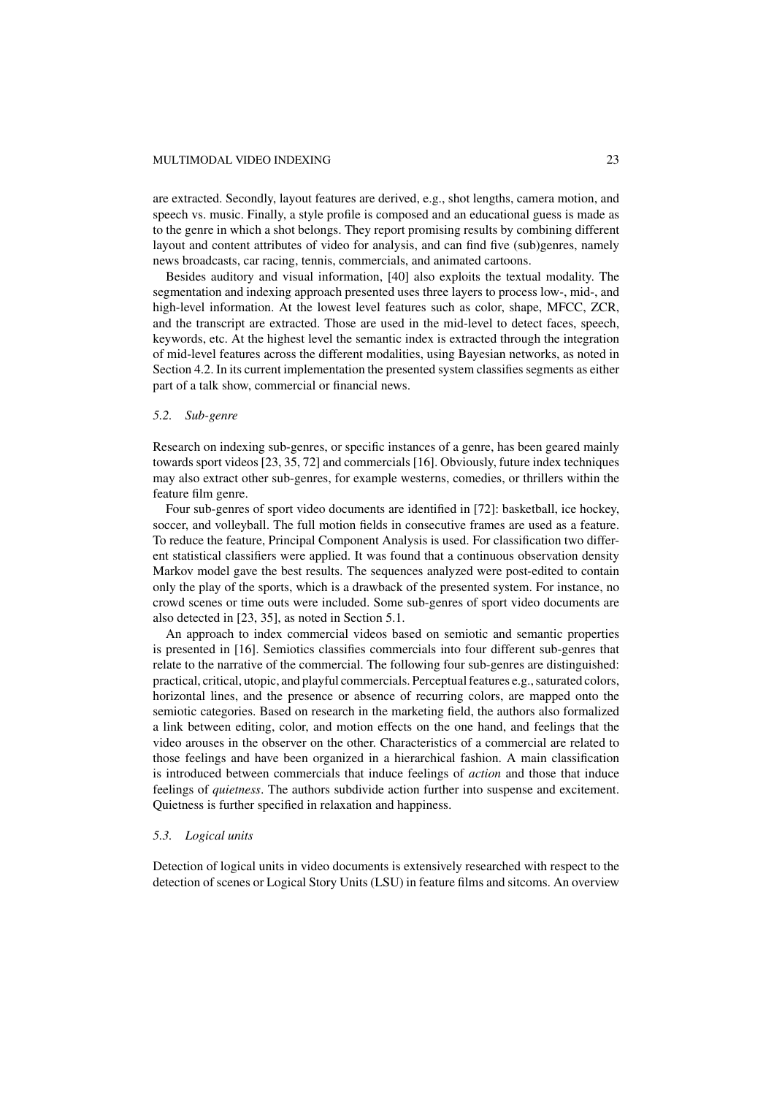are extracted. Secondly, layout features are derived, e.g., shot lengths, camera motion, and speech vs. music. Finally, a style profile is composed and an educational guess is made as to the genre in which a shot belongs. They report promising results by combining different layout and content attributes of video for analysis, and can find five (sub)genres, namely news broadcasts, car racing, tennis, commercials, and animated cartoons.

Besides auditory and visual information, [40] also exploits the textual modality. The segmentation and indexing approach presented uses three layers to process low-, mid-, and high-level information. At the lowest level features such as color, shape, MFCC, ZCR, and the transcript are extracted. Those are used in the mid-level to detect faces, speech, keywords, etc. At the highest level the semantic index is extracted through the integration of mid-level features across the different modalities, using Bayesian networks, as noted in Section 4.2. In its current implementation the presented system classifies segments as either part of a talk show, commercial or financial news.

#### *5.2. Sub-genre*

Research on indexing sub-genres, or specific instances of a genre, has been geared mainly towards sport videos [23, 35, 72] and commercials [16]. Obviously, future index techniques may also extract other sub-genres, for example westerns, comedies, or thrillers within the feature film genre.

Four sub-genres of sport video documents are identified in [72]: basketball, ice hockey, soccer, and volleyball. The full motion fields in consecutive frames are used as a feature. To reduce the feature, Principal Component Analysis is used. For classification two different statistical classifiers were applied. It was found that a continuous observation density Markov model gave the best results. The sequences analyzed were post-edited to contain only the play of the sports, which is a drawback of the presented system. For instance, no crowd scenes or time outs were included. Some sub-genres of sport video documents are also detected in [23, 35], as noted in Section 5.1.

An approach to index commercial videos based on semiotic and semantic properties is presented in [16]. Semiotics classifies commercials into four different sub-genres that relate to the narrative of the commercial. The following four sub-genres are distinguished: practical, critical, utopic, and playful commercials. Perceptual features e.g., saturated colors, horizontal lines, and the presence or absence of recurring colors, are mapped onto the semiotic categories. Based on research in the marketing field, the authors also formalized a link between editing, color, and motion effects on the one hand, and feelings that the video arouses in the observer on the other. Characteristics of a commercial are related to those feelings and have been organized in a hierarchical fashion. A main classification is introduced between commercials that induce feelings of *action* and those that induce feelings of *quietness*. The authors subdivide action further into suspense and excitement. Quietness is further specified in relaxation and happiness.

## *5.3. Logical units*

Detection of logical units in video documents is extensively researched with respect to the detection of scenes or Logical Story Units (LSU) in feature films and sitcoms. An overview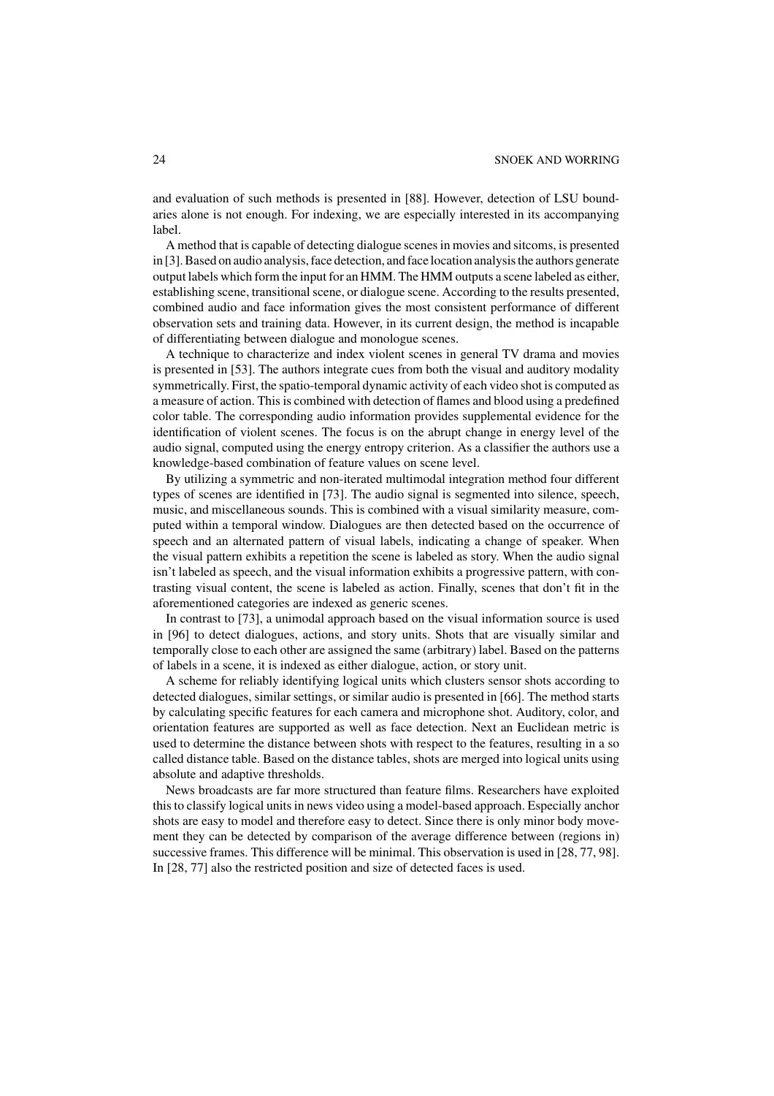and evaluation of such methods is presented in [88]. However, detection of LSU boundaries alone is not enough. For indexing, we are especially interested in its accompanying label.

A method that is capable of detecting dialogue scenes in movies and sitcoms, is presented in [3]. Based on audio analysis, face detection, and face location analysis the authors generate output labels which form the input for an HMM. The HMM outputs a scene labeled as either, establishing scene, transitional scene, or dialogue scene. According to the results presented, combined audio and face information gives the most consistent performance of different observation sets and training data. However, in its current design, the method is incapable of differentiating between dialogue and monologue scenes.

A technique to characterize and index violent scenes in general TV drama and movies is presented in [53]. The authors integrate cues from both the visual and auditory modality symmetrically. First, the spatio-temporal dynamic activity of each video shot is computed as a measure of action. This is combined with detection of flames and blood using a predefined color table. The corresponding audio information provides supplemental evidence for the identification of violent scenes. The focus is on the abrupt change in energy level of the audio signal, computed using the energy entropy criterion. As a classifier the authors use a knowledge-based combination of feature values on scene level.

By utilizing a symmetric and non-iterated multimodal integration method four different types of scenes are identified in [73]. The audio signal is segmented into silence, speech, music, and miscellaneous sounds. This is combined with a visual similarity measure, computed within a temporal window. Dialogues are then detected based on the occurrence of speech and an alternated pattern of visual labels, indicating a change of speaker. When the visual pattern exhibits a repetition the scene is labeled as story. When the audio signal isn't labeled as speech, and the visual information exhibits a progressive pattern, with contrasting visual content, the scene is labeled as action. Finally, scenes that don't fit in the aforementioned categories are indexed as generic scenes.

In contrast to [73], a unimodal approach based on the visual information source is used in [96] to detect dialogues, actions, and story units. Shots that are visually similar and temporally close to each other are assigned the same (arbitrary) label. Based on the patterns of labels in a scene, it is indexed as either dialogue, action, or story unit.

A scheme for reliably identifying logical units which clusters sensor shots according to detected dialogues, similar settings, or similar audio is presented in [66]. The method starts by calculating specific features for each camera and microphone shot. Auditory, color, and orientation features are supported as well as face detection. Next an Euclidean metric is used to determine the distance between shots with respect to the features, resulting in a so called distance table. Based on the distance tables, shots are merged into logical units using absolute and adaptive thresholds.

News broadcasts are far more structured than feature films. Researchers have exploited this to classify logical units in news video using a model-based approach. Especially anchor shots are easy to model and therefore easy to detect. Since there is only minor body movement they can be detected by comparison of the average difference between (regions in) successive frames. This difference will be minimal. This observation is used in [28, 77, 98]. In [28, 77] also the restricted position and size of detected faces is used.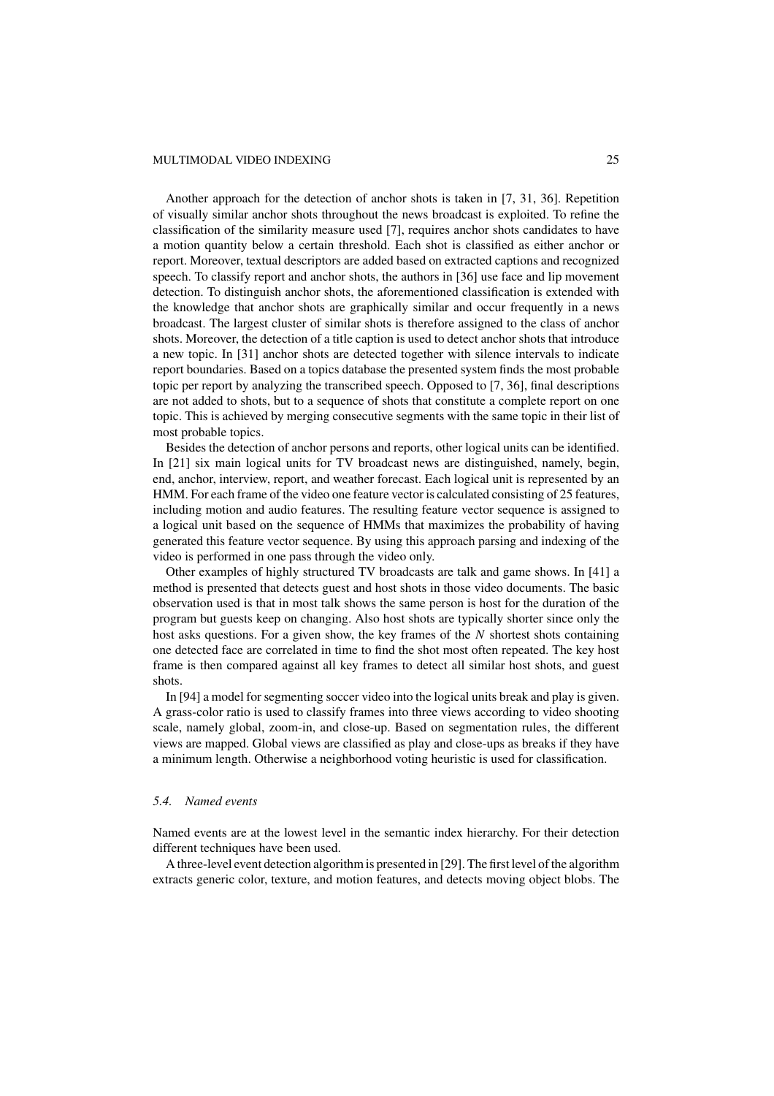Another approach for the detection of anchor shots is taken in [7, 31, 36]. Repetition of visually similar anchor shots throughout the news broadcast is exploited. To refine the classification of the similarity measure used [7], requires anchor shots candidates to have a motion quantity below a certain threshold. Each shot is classified as either anchor or report. Moreover, textual descriptors are added based on extracted captions and recognized speech. To classify report and anchor shots, the authors in [36] use face and lip movement detection. To distinguish anchor shots, the aforementioned classification is extended with the knowledge that anchor shots are graphically similar and occur frequently in a news broadcast. The largest cluster of similar shots is therefore assigned to the class of anchor shots. Moreover, the detection of a title caption is used to detect anchor shots that introduce a new topic. In [31] anchor shots are detected together with silence intervals to indicate report boundaries. Based on a topics database the presented system finds the most probable topic per report by analyzing the transcribed speech. Opposed to [7, 36], final descriptions are not added to shots, but to a sequence of shots that constitute a complete report on one topic. This is achieved by merging consecutive segments with the same topic in their list of most probable topics.

Besides the detection of anchor persons and reports, other logical units can be identified. In [21] six main logical units for TV broadcast news are distinguished, namely, begin, end, anchor, interview, report, and weather forecast. Each logical unit is represented by an HMM. For each frame of the video one feature vector is calculated consisting of 25 features, including motion and audio features. The resulting feature vector sequence is assigned to a logical unit based on the sequence of HMMs that maximizes the probability of having generated this feature vector sequence. By using this approach parsing and indexing of the video is performed in one pass through the video only.

Other examples of highly structured TV broadcasts are talk and game shows. In [41] a method is presented that detects guest and host shots in those video documents. The basic observation used is that in most talk shows the same person is host for the duration of the program but guests keep on changing. Also host shots are typically shorter since only the host asks questions. For a given show, the key frames of the *N* shortest shots containing one detected face are correlated in time to find the shot most often repeated. The key host frame is then compared against all key frames to detect all similar host shots, and guest shots.

In [94] a model for segmenting soccer video into the logical units break and play is given. A grass-color ratio is used to classify frames into three views according to video shooting scale, namely global, zoom-in, and close-up. Based on segmentation rules, the different views are mapped. Global views are classified as play and close-ups as breaks if they have a minimum length. Otherwise a neighborhood voting heuristic is used for classification.

## *5.4. Named events*

Named events are at the lowest level in the semantic index hierarchy. For their detection different techniques have been used.

A three-level event detection algorithm is presented in [29]. The first level of the algorithm extracts generic color, texture, and motion features, and detects moving object blobs. The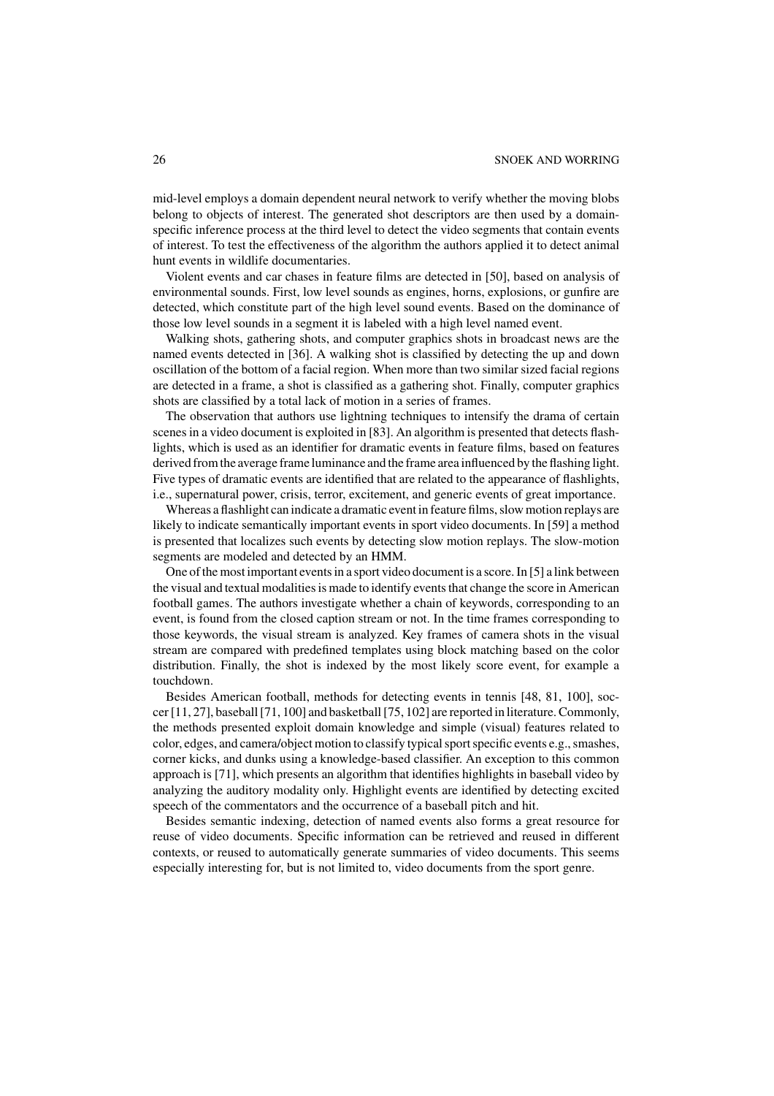mid-level employs a domain dependent neural network to verify whether the moving blobs belong to objects of interest. The generated shot descriptors are then used by a domainspecific inference process at the third level to detect the video segments that contain events of interest. To test the effectiveness of the algorithm the authors applied it to detect animal hunt events in wildlife documentaries.

Violent events and car chases in feature films are detected in [50], based on analysis of environmental sounds. First, low level sounds as engines, horns, explosions, or gunfire are detected, which constitute part of the high level sound events. Based on the dominance of those low level sounds in a segment it is labeled with a high level named event.

Walking shots, gathering shots, and computer graphics shots in broadcast news are the named events detected in [36]. A walking shot is classified by detecting the up and down oscillation of the bottom of a facial region. When more than two similar sized facial regions are detected in a frame, a shot is classified as a gathering shot. Finally, computer graphics shots are classified by a total lack of motion in a series of frames.

The observation that authors use lightning techniques to intensify the drama of certain scenes in a video document is exploited in [83]. An algorithm is presented that detects flashlights, which is used as an identifier for dramatic events in feature films, based on features derived from the average frame luminance and the frame area influenced by the flashing light. Five types of dramatic events are identified that are related to the appearance of flashlights, i.e., supernatural power, crisis, terror, excitement, and generic events of great importance.

Whereas a flashlight can indicate a dramatic event in feature films, slow motion replays are likely to indicate semantically important events in sport video documents. In [59] a method is presented that localizes such events by detecting slow motion replays. The slow-motion segments are modeled and detected by an HMM.

One of the most important events in a sport video document is a score. In [5] a link between the visual and textual modalities is made to identify events that change the score in American football games. The authors investigate whether a chain of keywords, corresponding to an event, is found from the closed caption stream or not. In the time frames corresponding to those keywords, the visual stream is analyzed. Key frames of camera shots in the visual stream are compared with predefined templates using block matching based on the color distribution. Finally, the shot is indexed by the most likely score event, for example a touchdown.

Besides American football, methods for detecting events in tennis [48, 81, 100], soccer [11, 27], baseball [71, 100] and basketball [75, 102] are reported in literature. Commonly, the methods presented exploit domain knowledge and simple (visual) features related to color, edges, and camera/object motion to classify typical sport specific events e.g., smashes, corner kicks, and dunks using a knowledge-based classifier. An exception to this common approach is [71], which presents an algorithm that identifies highlights in baseball video by analyzing the auditory modality only. Highlight events are identified by detecting excited speech of the commentators and the occurrence of a baseball pitch and hit.

Besides semantic indexing, detection of named events also forms a great resource for reuse of video documents. Specific information can be retrieved and reused in different contexts, or reused to automatically generate summaries of video documents. This seems especially interesting for, but is not limited to, video documents from the sport genre.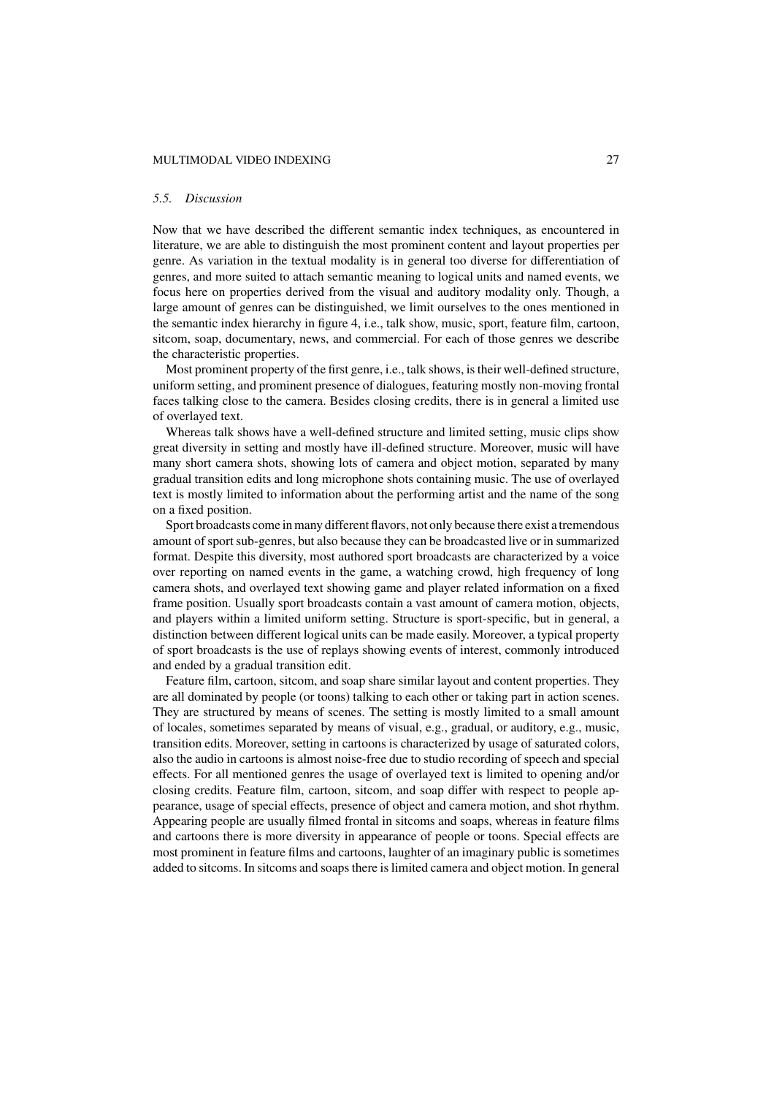#### *5.5. Discussion*

Now that we have described the different semantic index techniques, as encountered in literature, we are able to distinguish the most prominent content and layout properties per genre. As variation in the textual modality is in general too diverse for differentiation of genres, and more suited to attach semantic meaning to logical units and named events, we focus here on properties derived from the visual and auditory modality only. Though, a large amount of genres can be distinguished, we limit ourselves to the ones mentioned in the semantic index hierarchy in figure 4, i.e., talk show, music, sport, feature film, cartoon, sitcom, soap, documentary, news, and commercial. For each of those genres we describe the characteristic properties.

Most prominent property of the first genre, i.e., talk shows, is their well-defined structure, uniform setting, and prominent presence of dialogues, featuring mostly non-moving frontal faces talking close to the camera. Besides closing credits, there is in general a limited use of overlayed text.

Whereas talk shows have a well-defined structure and limited setting, music clips show great diversity in setting and mostly have ill-defined structure. Moreover, music will have many short camera shots, showing lots of camera and object motion, separated by many gradual transition edits and long microphone shots containing music. The use of overlayed text is mostly limited to information about the performing artist and the name of the song on a fixed position.

Sport broadcasts come in many different flavors, not only because there exist a tremendous amount of sport sub-genres, but also because they can be broadcasted live or in summarized format. Despite this diversity, most authored sport broadcasts are characterized by a voice over reporting on named events in the game, a watching crowd, high frequency of long camera shots, and overlayed text showing game and player related information on a fixed frame position. Usually sport broadcasts contain a vast amount of camera motion, objects, and players within a limited uniform setting. Structure is sport-specific, but in general, a distinction between different logical units can be made easily. Moreover, a typical property of sport broadcasts is the use of replays showing events of interest, commonly introduced and ended by a gradual transition edit.

Feature film, cartoon, sitcom, and soap share similar layout and content properties. They are all dominated by people (or toons) talking to each other or taking part in action scenes. They are structured by means of scenes. The setting is mostly limited to a small amount of locales, sometimes separated by means of visual, e.g., gradual, or auditory, e.g., music, transition edits. Moreover, setting in cartoons is characterized by usage of saturated colors, also the audio in cartoons is almost noise-free due to studio recording of speech and special effects. For all mentioned genres the usage of overlayed text is limited to opening and/or closing credits. Feature film, cartoon, sitcom, and soap differ with respect to people appearance, usage of special effects, presence of object and camera motion, and shot rhythm. Appearing people are usually filmed frontal in sitcoms and soaps, whereas in feature films and cartoons there is more diversity in appearance of people or toons. Special effects are most prominent in feature films and cartoons, laughter of an imaginary public is sometimes added to sitcoms. In sitcoms and soaps there is limited camera and object motion. In general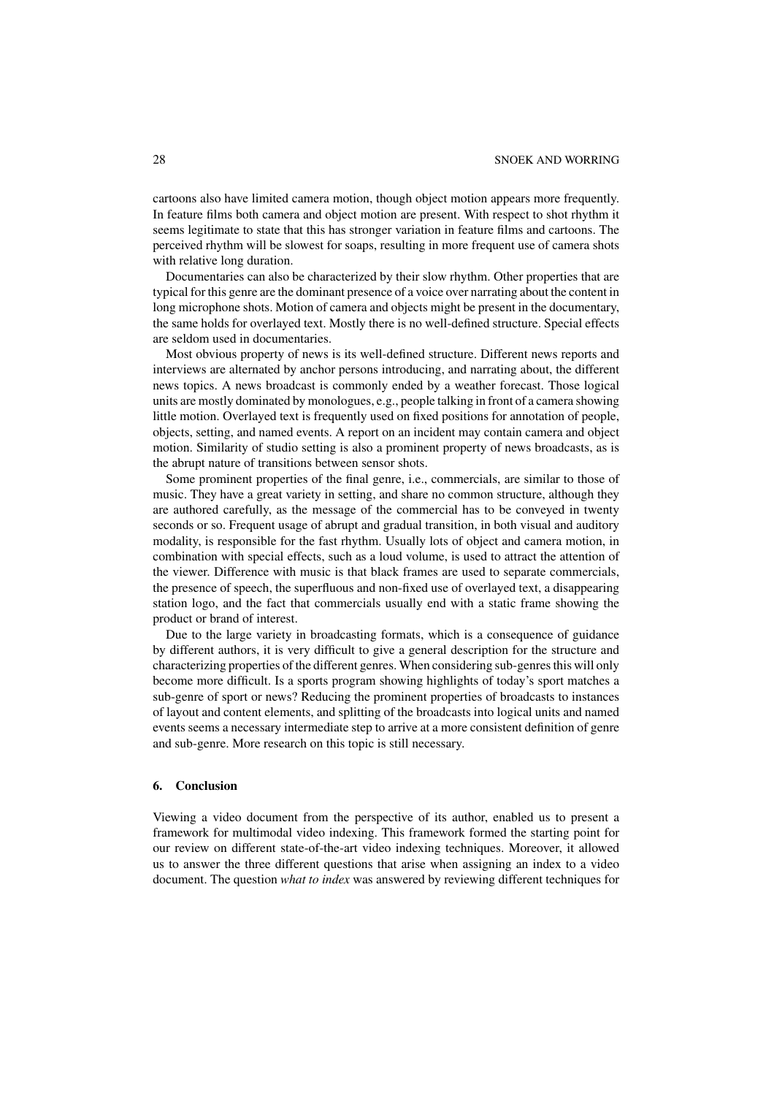#### 28 SNOEK AND WORRING

cartoons also have limited camera motion, though object motion appears more frequently. In feature films both camera and object motion are present. With respect to shot rhythm it seems legitimate to state that this has stronger variation in feature films and cartoons. The perceived rhythm will be slowest for soaps, resulting in more frequent use of camera shots with relative long duration.

Documentaries can also be characterized by their slow rhythm. Other properties that are typical for this genre are the dominant presence of a voice over narrating about the content in long microphone shots. Motion of camera and objects might be present in the documentary, the same holds for overlayed text. Mostly there is no well-defined structure. Special effects are seldom used in documentaries.

Most obvious property of news is its well-defined structure. Different news reports and interviews are alternated by anchor persons introducing, and narrating about, the different news topics. A news broadcast is commonly ended by a weather forecast. Those logical units are mostly dominated by monologues, e.g., people talking in front of a camera showing little motion. Overlayed text is frequently used on fixed positions for annotation of people, objects, setting, and named events. A report on an incident may contain camera and object motion. Similarity of studio setting is also a prominent property of news broadcasts, as is the abrupt nature of transitions between sensor shots.

Some prominent properties of the final genre, i.e., commercials, are similar to those of music. They have a great variety in setting, and share no common structure, although they are authored carefully, as the message of the commercial has to be conveyed in twenty seconds or so. Frequent usage of abrupt and gradual transition, in both visual and auditory modality, is responsible for the fast rhythm. Usually lots of object and camera motion, in combination with special effects, such as a loud volume, is used to attract the attention of the viewer. Difference with music is that black frames are used to separate commercials, the presence of speech, the superfluous and non-fixed use of overlayed text, a disappearing station logo, and the fact that commercials usually end with a static frame showing the product or brand of interest.

Due to the large variety in broadcasting formats, which is a consequence of guidance by different authors, it is very difficult to give a general description for the structure and characterizing properties of the different genres. When considering sub-genres this will only become more difficult. Is a sports program showing highlights of today's sport matches a sub-genre of sport or news? Reducing the prominent properties of broadcasts to instances of layout and content elements, and splitting of the broadcasts into logical units and named events seems a necessary intermediate step to arrive at a more consistent definition of genre and sub-genre. More research on this topic is still necessary.

## **6. Conclusion**

Viewing a video document from the perspective of its author, enabled us to present a framework for multimodal video indexing. This framework formed the starting point for our review on different state-of-the-art video indexing techniques. Moreover, it allowed us to answer the three different questions that arise when assigning an index to a video document. The question *what to index* was answered by reviewing different techniques for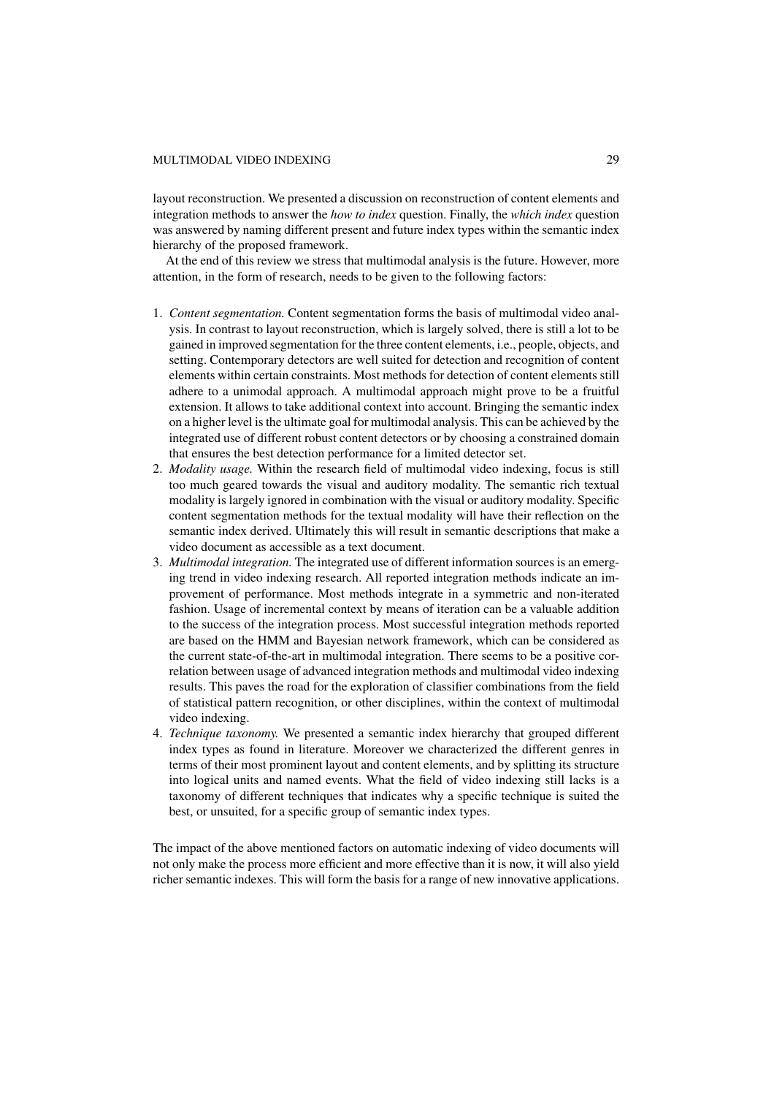layout reconstruction. We presented a discussion on reconstruction of content elements and integration methods to answer the *how to index* question. Finally, the *which index* question was answered by naming different present and future index types within the semantic index hierarchy of the proposed framework.

At the end of this review we stress that multimodal analysis is the future. However, more attention, in the form of research, needs to be given to the following factors:

- 1. *Content segmentation.* Content segmentation forms the basis of multimodal video analysis. In contrast to layout reconstruction, which is largely solved, there is still a lot to be gained in improved segmentation for the three content elements, i.e., people, objects, and setting. Contemporary detectors are well suited for detection and recognition of content elements within certain constraints. Most methods for detection of content elements still adhere to a unimodal approach. A multimodal approach might prove to be a fruitful extension. It allows to take additional context into account. Bringing the semantic index on a higher level is the ultimate goal for multimodal analysis. This can be achieved by the integrated use of different robust content detectors or by choosing a constrained domain that ensures the best detection performance for a limited detector set.
- 2. *Modality usage.* Within the research field of multimodal video indexing, focus is still too much geared towards the visual and auditory modality. The semantic rich textual modality is largely ignored in combination with the visual or auditory modality. Specific content segmentation methods for the textual modality will have their reflection on the semantic index derived. Ultimately this will result in semantic descriptions that make a video document as accessible as a text document.
- 3. *Multimodal integration.* The integrated use of different information sources is an emerging trend in video indexing research. All reported integration methods indicate an improvement of performance. Most methods integrate in a symmetric and non-iterated fashion. Usage of incremental context by means of iteration can be a valuable addition to the success of the integration process. Most successful integration methods reported are based on the HMM and Bayesian network framework, which can be considered as the current state-of-the-art in multimodal integration. There seems to be a positive correlation between usage of advanced integration methods and multimodal video indexing results. This paves the road for the exploration of classifier combinations from the field of statistical pattern recognition, or other disciplines, within the context of multimodal video indexing.
- 4. *Technique taxonomy.* We presented a semantic index hierarchy that grouped different index types as found in literature. Moreover we characterized the different genres in terms of their most prominent layout and content elements, and by splitting its structure into logical units and named events. What the field of video indexing still lacks is a taxonomy of different techniques that indicates why a specific technique is suited the best, or unsuited, for a specific group of semantic index types.

The impact of the above mentioned factors on automatic indexing of video documents will not only make the process more efficient and more effective than it is now, it will also yield richer semantic indexes. This will form the basis for a range of new innovative applications.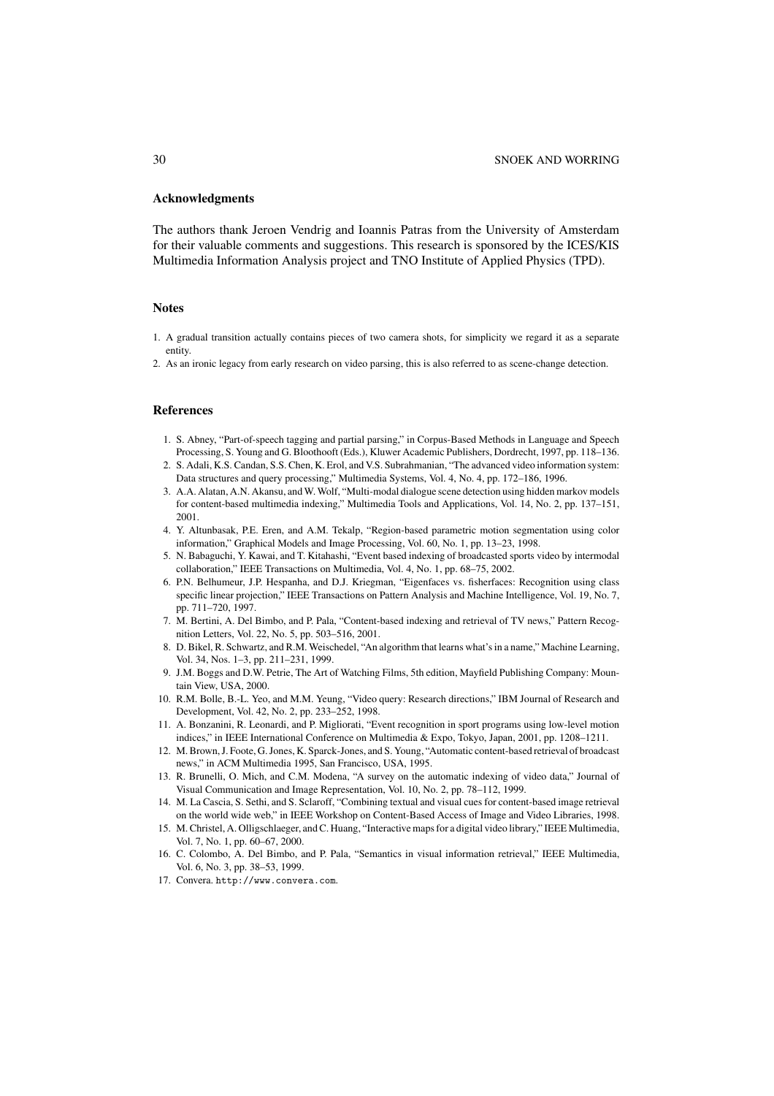## **Acknowledgments**

The authors thank Jeroen Vendrig and Ioannis Patras from the University of Amsterdam for their valuable comments and suggestions. This research is sponsored by the ICES/KIS Multimedia Information Analysis project and TNO Institute of Applied Physics (TPD).

# **Notes**

- 1. A gradual transition actually contains pieces of two camera shots, for simplicity we regard it as a separate entity.
- 2. As an ironic legacy from early research on video parsing, this is also referred to as scene-change detection.

#### **References**

- 1. S. Abney, "Part-of-speech tagging and partial parsing," in Corpus-Based Methods in Language and Speech Processing, S. Young and G. Bloothooft (Eds.), Kluwer Academic Publishers, Dordrecht, 1997, pp. 118–136.
- 2. S. Adali, K.S. Candan, S.S. Chen, K. Erol, and V.S. Subrahmanian, "The advanced video information system: Data structures and query processing," Multimedia Systems, Vol. 4, No. 4, pp. 172–186, 1996.
- 3. A.A. Alatan, A.N. Akansu, and W. Wolf, "Multi-modal dialogue scene detection using hidden markov models for content-based multimedia indexing," Multimedia Tools and Applications, Vol. 14, No. 2, pp. 137–151, 2001.
- 4. Y. Altunbasak, P.E. Eren, and A.M. Tekalp, "Region-based parametric motion segmentation using color information," Graphical Models and Image Processing, Vol. 60, No. 1, pp. 13–23, 1998.
- 5. N. Babaguchi, Y. Kawai, and T. Kitahashi, "Event based indexing of broadcasted sports video by intermodal collaboration," IEEE Transactions on Multimedia, Vol. 4, No. 1, pp. 68–75, 2002.
- 6. P.N. Belhumeur, J.P. Hespanha, and D.J. Kriegman, "Eigenfaces vs. fisherfaces: Recognition using class specific linear projection," IEEE Transactions on Pattern Analysis and Machine Intelligence, Vol. 19, No. 7, pp. 711–720, 1997.
- 7. M. Bertini, A. Del Bimbo, and P. Pala, "Content-based indexing and retrieval of TV news," Pattern Recognition Letters, Vol. 22, No. 5, pp. 503–516, 2001.
- 8. D. Bikel, R. Schwartz, and R.M. Weischedel, "An algorithm that learns what's in a name," Machine Learning, Vol. 34, Nos. 1–3, pp. 211–231, 1999.
- 9. J.M. Boggs and D.W. Petrie, The Art of Watching Films, 5th edition, Mayfield Publishing Company: Mountain View, USA, 2000.
- 10. R.M. Bolle, B.-L. Yeo, and M.M. Yeung, "Video query: Research directions," IBM Journal of Research and Development, Vol. 42, No. 2, pp. 233–252, 1998.
- 11. A. Bonzanini, R. Leonardi, and P. Migliorati, "Event recognition in sport programs using low-level motion indices," in IEEE International Conference on Multimedia & Expo, Tokyo, Japan, 2001, pp. 1208–1211.
- 12. M. Brown, J. Foote, G. Jones, K. Sparck-Jones, and S. Young, "Automatic content-based retrieval of broadcast news," in ACM Multimedia 1995, San Francisco, USA, 1995.
- 13. R. Brunelli, O. Mich, and C.M. Modena, "A survey on the automatic indexing of video data," Journal of Visual Communication and Image Representation, Vol. 10, No. 2, pp. 78–112, 1999.
- 14. M. La Cascia, S. Sethi, and S. Sclaroff, "Combining textual and visual cues for content-based image retrieval on the world wide web," in IEEE Workshop on Content-Based Access of Image and Video Libraries, 1998.
- 15. M. Christel, A. Olligschlaeger, and C. Huang, "Interactive maps for a digital video library," IEEE Multimedia, Vol. 7, No. 1, pp. 60–67, 2000.
- 16. C. Colombo, A. Del Bimbo, and P. Pala, "Semantics in visual information retrieval," IEEE Multimedia, Vol. 6, No. 3, pp. 38–53, 1999.
- 17. Convera. http://www.convera.com.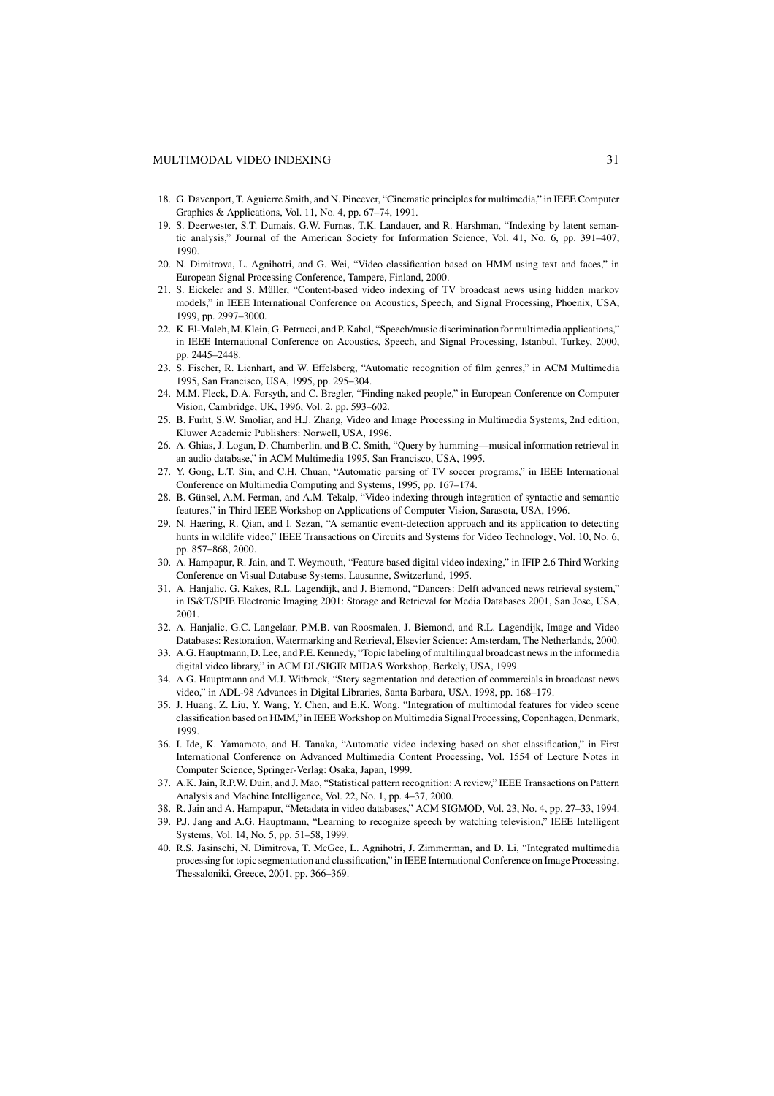- 18. G. Davenport, T. Aguierre Smith, and N. Pincever, "Cinematic principles for multimedia," in IEEE Computer Graphics & Applications, Vol. 11, No. 4, pp. 67–74, 1991.
- 19. S. Deerwester, S.T. Dumais, G.W. Furnas, T.K. Landauer, and R. Harshman, "Indexing by latent semantic analysis," Journal of the American Society for Information Science, Vol. 41, No. 6, pp. 391–407, 1990.
- 20. N. Dimitrova, L. Agnihotri, and G. Wei, "Video classification based on HMM using text and faces," in European Signal Processing Conference, Tampere, Finland, 2000.
- 21. S. Eickeler and S. Müller, "Content-based video indexing of TV broadcast news using hidden markov models," in IEEE International Conference on Acoustics, Speech, and Signal Processing, Phoenix, USA, 1999, pp. 2997–3000.
- 22. K. El-Maleh, M. Klein, G. Petrucci, and P. Kabal, "Speech/music discrimination for multimedia applications," in IEEE International Conference on Acoustics, Speech, and Signal Processing, Istanbul, Turkey, 2000, pp. 2445–2448.
- 23. S. Fischer, R. Lienhart, and W. Effelsberg, "Automatic recognition of film genres," in ACM Multimedia 1995, San Francisco, USA, 1995, pp. 295–304.
- 24. M.M. Fleck, D.A. Forsyth, and C. Bregler, "Finding naked people," in European Conference on Computer Vision, Cambridge, UK, 1996, Vol. 2, pp. 593–602.
- 25. B. Furht, S.W. Smoliar, and H.J. Zhang, Video and Image Processing in Multimedia Systems, 2nd edition, Kluwer Academic Publishers: Norwell, USA, 1996.
- 26. A. Ghias, J. Logan, D. Chamberlin, and B.C. Smith, "Query by humming—musical information retrieval in an audio database," in ACM Multimedia 1995, San Francisco, USA, 1995.
- 27. Y. Gong, L.T. Sin, and C.H. Chuan, "Automatic parsing of TV soccer programs," in IEEE International Conference on Multimedia Computing and Systems, 1995, pp. 167–174.
- 28. B. Günsel, A.M. Ferman, and A.M. Tekalp, "Video indexing through integration of syntactic and semantic features," in Third IEEE Workshop on Applications of Computer Vision, Sarasota, USA, 1996.
- 29. N. Haering, R. Qian, and I. Sezan, "A semantic event-detection approach and its application to detecting hunts in wildlife video," IEEE Transactions on Circuits and Systems for Video Technology, Vol. 10, No. 6, pp. 857–868, 2000.
- 30. A. Hampapur, R. Jain, and T. Weymouth, "Feature based digital video indexing," in IFIP 2.6 Third Working Conference on Visual Database Systems, Lausanne, Switzerland, 1995.
- 31. A. Hanjalic, G. Kakes, R.L. Lagendijk, and J. Biemond, "Dancers: Delft advanced news retrieval system," in IS&T/SPIE Electronic Imaging 2001: Storage and Retrieval for Media Databases 2001, San Jose, USA, 2001.
- 32. A. Hanjalic, G.C. Langelaar, P.M.B. van Roosmalen, J. Biemond, and R.L. Lagendijk, Image and Video Databases: Restoration, Watermarking and Retrieval, Elsevier Science: Amsterdam, The Netherlands, 2000.
- 33. A.G. Hauptmann, D. Lee, and P.E. Kennedy, "Topic labeling of multilingual broadcast news in the informedia digital video library," in ACM DL/SIGIR MIDAS Workshop, Berkely, USA, 1999.
- 34. A.G. Hauptmann and M.J. Witbrock, "Story segmentation and detection of commercials in broadcast news video," in ADL-98 Advances in Digital Libraries, Santa Barbara, USA, 1998, pp. 168–179.
- 35. J. Huang, Z. Liu, Y. Wang, Y. Chen, and E.K. Wong, "Integration of multimodal features for video scene classification based on HMM," in IEEE Workshop on Multimedia Signal Processing, Copenhagen, Denmark, 1999.
- 36. I. Ide, K. Yamamoto, and H. Tanaka, "Automatic video indexing based on shot classification," in First International Conference on Advanced Multimedia Content Processing, Vol. 1554 of Lecture Notes in Computer Science, Springer-Verlag: Osaka, Japan, 1999.
- 37. A.K. Jain, R.P.W. Duin, and J. Mao, "Statistical pattern recognition: A review," IEEE Transactions on Pattern Analysis and Machine Intelligence, Vol. 22, No. 1, pp. 4–37, 2000.
- 38. R. Jain and A. Hampapur, "Metadata in video databases," ACM SIGMOD, Vol. 23, No. 4, pp. 27–33, 1994.
- 39. P.J. Jang and A.G. Hauptmann, "Learning to recognize speech by watching television," IEEE Intelligent Systems, Vol. 14, No. 5, pp. 51–58, 1999.
- 40. R.S. Jasinschi, N. Dimitrova, T. McGee, L. Agnihotri, J. Zimmerman, and D. Li, "Integrated multimedia processing for topic segmentation and classification," in IEEE International Conference on Image Processing, Thessaloniki, Greece, 2001, pp. 366–369.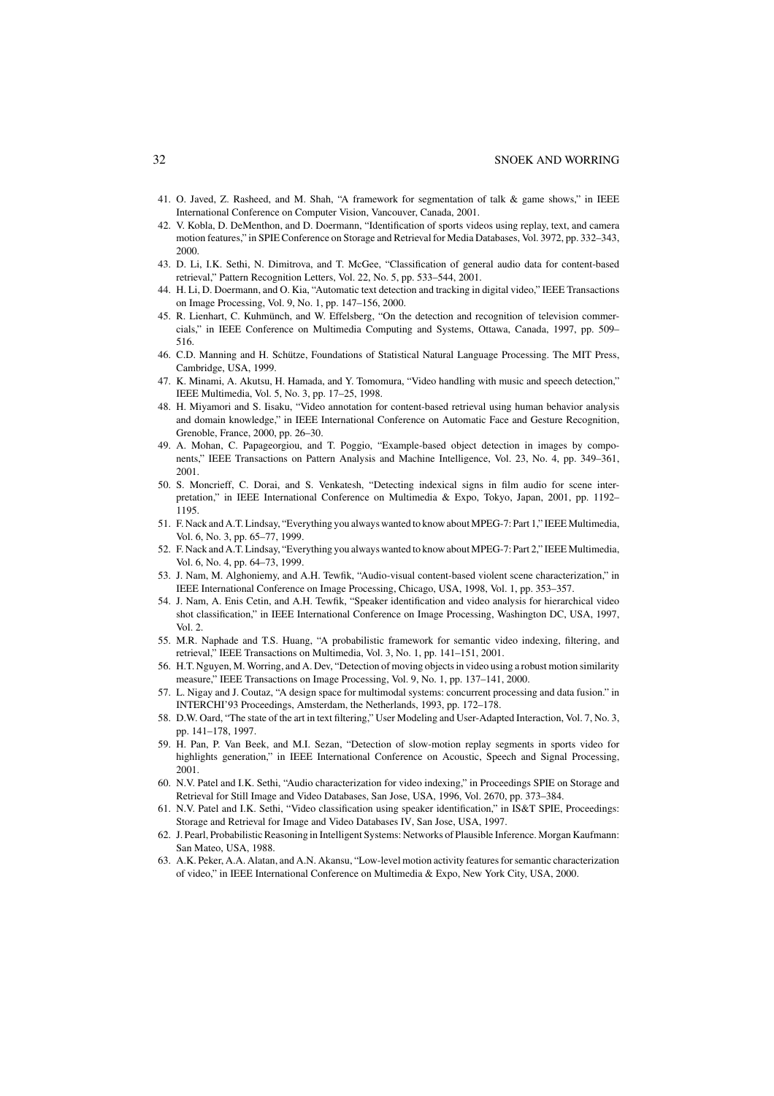### 32 SNOEK AND WORRING

- 41. O. Javed, Z. Rasheed, and M. Shah, "A framework for segmentation of talk & game shows," in IEEE International Conference on Computer Vision, Vancouver, Canada, 2001.
- 42. V. Kobla, D. DeMenthon, and D. Doermann, "Identification of sports videos using replay, text, and camera motion features," in SPIE Conference on Storage and Retrieval for Media Databases, Vol. 3972, pp. 332–343, 2000.
- 43. D. Li, I.K. Sethi, N. Dimitrova, and T. McGee, "Classification of general audio data for content-based retrieval," Pattern Recognition Letters, Vol. 22, No. 5, pp. 533–544, 2001.
- 44. H. Li, D. Doermann, and O. Kia, "Automatic text detection and tracking in digital video," IEEE Transactions on Image Processing, Vol. 9, No. 1, pp. 147–156, 2000.
- 45. R. Lienhart, C. Kuhmünch, and W. Effelsberg, "On the detection and recognition of television commercials," in IEEE Conference on Multimedia Computing and Systems, Ottawa, Canada, 1997, pp. 509– 516.
- 46. C.D. Manning and H. Schütze, Foundations of Statistical Natural Language Processing. The MIT Press, Cambridge, USA, 1999.
- 47. K. Minami, A. Akutsu, H. Hamada, and Y. Tomomura, "Video handling with music and speech detection," IEEE Multimedia, Vol. 5, No. 3, pp. 17–25, 1998.
- 48. H. Miyamori and S. Iisaku, "Video annotation for content-based retrieval using human behavior analysis and domain knowledge," in IEEE International Conference on Automatic Face and Gesture Recognition, Grenoble, France, 2000, pp. 26–30.
- 49. A. Mohan, C. Papageorgiou, and T. Poggio, "Example-based object detection in images by components," IEEE Transactions on Pattern Analysis and Machine Intelligence, Vol. 23, No. 4, pp. 349–361, 2001.
- 50. S. Moncrieff, C. Dorai, and S. Venkatesh, "Detecting indexical signs in film audio for scene interpretation," in IEEE International Conference on Multimedia & Expo, Tokyo, Japan, 2001, pp. 1192– 1195.
- 51. F. Nack and A.T. Lindsay, "Everything you always wanted to know about MPEG-7: Part 1," IEEE Multimedia, Vol. 6, No. 3, pp. 65–77, 1999.
- 52. F. Nack and A.T. Lindsay, "Everything you always wanted to know about MPEG-7: Part 2," IEEE Multimedia, Vol. 6, No. 4, pp. 64–73, 1999.
- 53. J. Nam, M. Alghoniemy, and A.H. Tewfik, "Audio-visual content-based violent scene characterization," in IEEE International Conference on Image Processing, Chicago, USA, 1998, Vol. 1, pp. 353–357.
- 54. J. Nam, A. Enis Cetin, and A.H. Tewfik, "Speaker identification and video analysis for hierarchical video shot classification," in IEEE International Conference on Image Processing, Washington DC, USA, 1997, Vol. 2.
- 55. M.R. Naphade and T.S. Huang, "A probabilistic framework for semantic video indexing, filtering, and retrieval," IEEE Transactions on Multimedia, Vol. 3, No. 1, pp. 141–151, 2001.
- 56. H.T. Nguyen, M. Worring, and A. Dev, "Detection of moving objects in video using a robust motion similarity measure," IEEE Transactions on Image Processing, Vol. 9, No. 1, pp. 137–141, 2000.
- 57. L. Nigay and J. Coutaz, "A design space for multimodal systems: concurrent processing and data fusion." in INTERCHI'93 Proceedings, Amsterdam, the Netherlands, 1993, pp. 172–178.
- 58. D.W. Oard, "The state of the art in text filtering," User Modeling and User-Adapted Interaction, Vol. 7, No. 3, pp. 141–178, 1997.
- 59. H. Pan, P. Van Beek, and M.I. Sezan, "Detection of slow-motion replay segments in sports video for highlights generation," in IEEE International Conference on Acoustic, Speech and Signal Processing, 2001.
- 60. N.V. Patel and I.K. Sethi, "Audio characterization for video indexing," in Proceedings SPIE on Storage and Retrieval for Still Image and Video Databases, San Jose, USA, 1996, Vol. 2670, pp. 373–384.
- 61. N.V. Patel and I.K. Sethi, "Video classification using speaker identification," in IS&T SPIE, Proceedings: Storage and Retrieval for Image and Video Databases IV, San Jose, USA, 1997.
- 62. J. Pearl, Probabilistic Reasoning in Intelligent Systems: Networks of Plausible Inference. Morgan Kaufmann: San Mateo, USA, 1988.
- 63. A.K. Peker, A.A. Alatan, and A.N. Akansu, "Low-level motion activity features for semantic characterization of video," in IEEE International Conference on Multimedia & Expo, New York City, USA, 2000.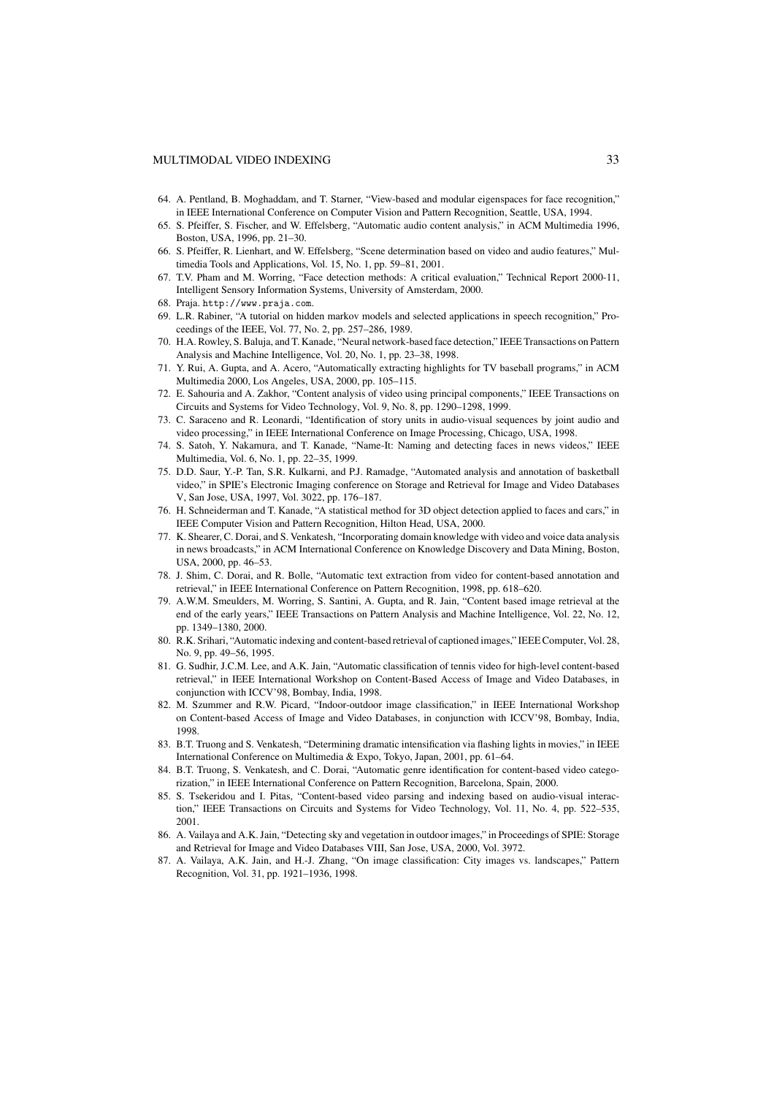- 64. A. Pentland, B. Moghaddam, and T. Starner, "View-based and modular eigenspaces for face recognition," in IEEE International Conference on Computer Vision and Pattern Recognition, Seattle, USA, 1994.
- 65. S. Pfeiffer, S. Fischer, and W. Effelsberg, "Automatic audio content analysis," in ACM Multimedia 1996, Boston, USA, 1996, pp. 21–30.
- 66. S. Pfeiffer, R. Lienhart, and W. Effelsberg, "Scene determination based on video and audio features," Multimedia Tools and Applications, Vol. 15, No. 1, pp. 59–81, 2001.
- 67. T.V. Pham and M. Worring, "Face detection methods: A critical evaluation," Technical Report 2000-11, Intelligent Sensory Information Systems, University of Amsterdam, 2000.
- 68. Praja. http://www.praja.com.
- 69. L.R. Rabiner, "A tutorial on hidden markov models and selected applications in speech recognition," Proceedings of the IEEE, Vol. 77, No. 2, pp. 257–286, 1989.
- 70. H.A. Rowley, S. Baluja, and T. Kanade, "Neural network-based face detection," IEEE Transactions on Pattern Analysis and Machine Intelligence, Vol. 20, No. 1, pp. 23–38, 1998.
- 71. Y. Rui, A. Gupta, and A. Acero, "Automatically extracting highlights for TV baseball programs," in ACM Multimedia 2000, Los Angeles, USA, 2000, pp. 105–115.
- 72. E. Sahouria and A. Zakhor, "Content analysis of video using principal components," IEEE Transactions on Circuits and Systems for Video Technology, Vol. 9, No. 8, pp. 1290–1298, 1999.
- 73. C. Saraceno and R. Leonardi, "Identification of story units in audio-visual sequences by joint audio and video processing," in IEEE International Conference on Image Processing, Chicago, USA, 1998.
- 74. S. Satoh, Y. Nakamura, and T. Kanade, "Name-It: Naming and detecting faces in news videos," IEEE Multimedia, Vol. 6, No. 1, pp. 22–35, 1999.
- 75. D.D. Saur, Y.-P. Tan, S.R. Kulkarni, and P.J. Ramadge, "Automated analysis and annotation of basketball video," in SPIE's Electronic Imaging conference on Storage and Retrieval for Image and Video Databases V, San Jose, USA, 1997, Vol. 3022, pp. 176–187.
- 76. H. Schneiderman and T. Kanade, "A statistical method for 3D object detection applied to faces and cars," in IEEE Computer Vision and Pattern Recognition, Hilton Head, USA, 2000.
- 77. K. Shearer, C. Dorai, and S. Venkatesh, "Incorporating domain knowledge with video and voice data analysis in news broadcasts," in ACM International Conference on Knowledge Discovery and Data Mining, Boston, USA, 2000, pp. 46–53.
- 78. J. Shim, C. Dorai, and R. Bolle, "Automatic text extraction from video for content-based annotation and retrieval," in IEEE International Conference on Pattern Recognition, 1998, pp. 618–620.
- 79. A.W.M. Smeulders, M. Worring, S. Santini, A. Gupta, and R. Jain, "Content based image retrieval at the end of the early years," IEEE Transactions on Pattern Analysis and Machine Intelligence, Vol. 22, No. 12, pp. 1349–1380, 2000.
- 80. R.K. Srihari, "Automatic indexing and content-based retrieval of captioned images," IEEE Computer, Vol. 28, No. 9, pp. 49–56, 1995.
- 81. G. Sudhir, J.C.M. Lee, and A.K. Jain, "Automatic classification of tennis video for high-level content-based retrieval," in IEEE International Workshop on Content-Based Access of Image and Video Databases, in conjunction with ICCV'98, Bombay, India, 1998.
- 82. M. Szummer and R.W. Picard, "Indoor-outdoor image classification," in IEEE International Workshop on Content-based Access of Image and Video Databases, in conjunction with ICCV'98, Bombay, India, 1998.
- 83. B.T. Truong and S. Venkatesh, "Determining dramatic intensification via flashing lights in movies," in IEEE International Conference on Multimedia & Expo, Tokyo, Japan, 2001, pp. 61–64.
- 84. B.T. Truong, S. Venkatesh, and C. Dorai, "Automatic genre identification for content-based video categorization," in IEEE International Conference on Pattern Recognition, Barcelona, Spain, 2000.
- 85. S. Tsekeridou and I. Pitas, "Content-based video parsing and indexing based on audio-visual interaction," IEEE Transactions on Circuits and Systems for Video Technology, Vol. 11, No. 4, pp. 522–535, 2001.
- 86. A. Vailaya and A.K. Jain, "Detecting sky and vegetation in outdoor images," in Proceedings of SPIE: Storage and Retrieval for Image and Video Databases VIII, San Jose, USA, 2000, Vol. 3972.
- 87. A. Vailaya, A.K. Jain, and H.-J. Zhang, "On image classification: City images vs. landscapes," Pattern Recognition, Vol. 31, pp. 1921–1936, 1998.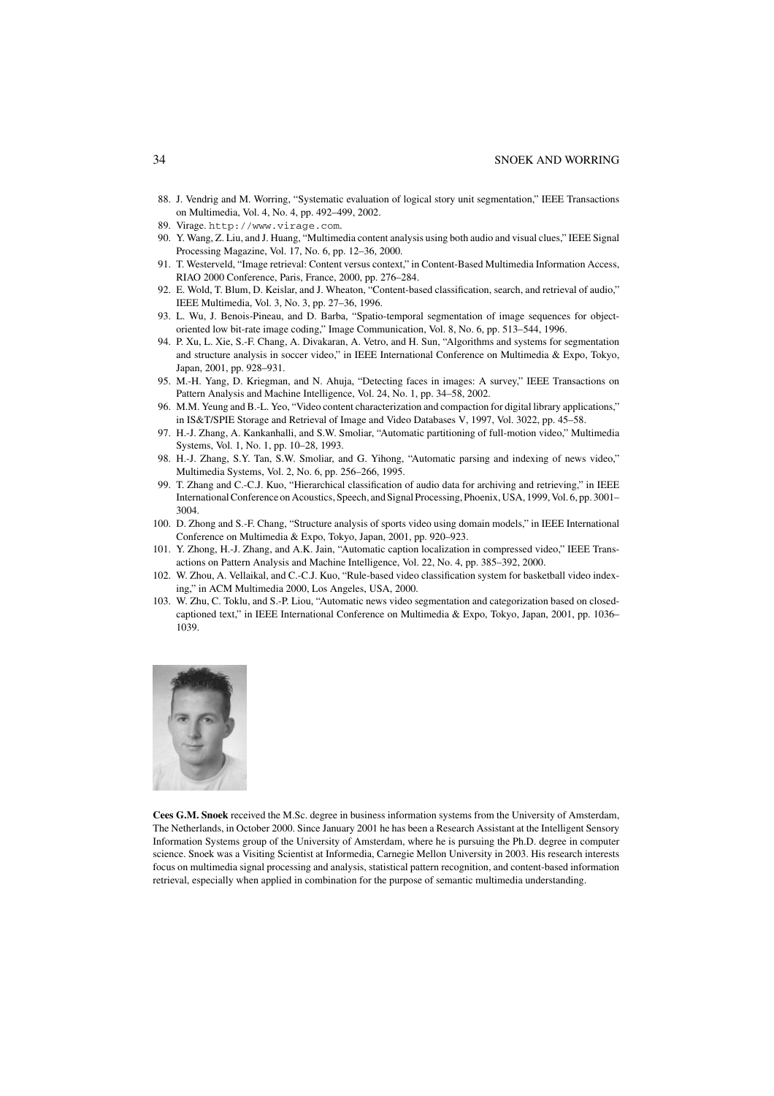#### 34 SNOEK AND WORRING

- 88. J. Vendrig and M. Worring, "Systematic evaluation of logical story unit segmentation," IEEE Transactions on Multimedia, Vol. 4, No. 4, pp. 492–499, 2002.
- 89. Virage. http://www.virage.com.
- 90. Y. Wang, Z. Liu, and J. Huang, "Multimedia content analysis using both audio and visual clues," IEEE Signal Processing Magazine, Vol. 17, No. 6, pp. 12–36, 2000.
- 91. T. Westerveld, "Image retrieval: Content versus context," in Content-Based Multimedia Information Access, RIAO 2000 Conference, Paris, France, 2000, pp. 276–284.
- 92. E. Wold, T. Blum, D. Keislar, and J. Wheaton, "Content-based classification, search, and retrieval of audio," IEEE Multimedia, Vol. 3, No. 3, pp. 27–36, 1996.
- 93. L. Wu, J. Benois-Pineau, and D. Barba, "Spatio-temporal segmentation of image sequences for objectoriented low bit-rate image coding," Image Communication, Vol. 8, No. 6, pp. 513–544, 1996.
- 94. P. Xu, L. Xie, S.-F. Chang, A. Divakaran, A. Vetro, and H. Sun, "Algorithms and systems for segmentation and structure analysis in soccer video," in IEEE International Conference on Multimedia & Expo, Tokyo, Japan, 2001, pp. 928–931.
- 95. M.-H. Yang, D. Kriegman, and N. Ahuja, "Detecting faces in images: A survey," IEEE Transactions on Pattern Analysis and Machine Intelligence, Vol. 24, No. 1, pp. 34–58, 2002.
- 96. M.M. Yeung and B.-L. Yeo, "Video content characterization and compaction for digital library applications," in IS&T/SPIE Storage and Retrieval of Image and Video Databases V, 1997, Vol. 3022, pp. 45–58.
- 97. H.-J. Zhang, A. Kankanhalli, and S.W. Smoliar, "Automatic partitioning of full-motion video," Multimedia Systems, Vol. 1, No. 1, pp. 10–28, 1993.
- 98. H.-J. Zhang, S.Y. Tan, S.W. Smoliar, and G. Yihong, "Automatic parsing and indexing of news video," Multimedia Systems, Vol. 2, No. 6, pp. 256–266, 1995.
- 99. T. Zhang and C.-C.J. Kuo, "Hierarchical classification of audio data for archiving and retrieving," in IEEE International Conference on Acoustics, Speech, and Signal Processing, Phoenix, USA, 1999, Vol. 6, pp. 3001– 3004.
- 100. D. Zhong and S.-F. Chang, "Structure analysis of sports video using domain models," in IEEE International Conference on Multimedia & Expo, Tokyo, Japan, 2001, pp. 920–923.
- 101. Y. Zhong, H.-J. Zhang, and A.K. Jain, "Automatic caption localization in compressed video," IEEE Transactions on Pattern Analysis and Machine Intelligence, Vol. 22, No. 4, pp. 385–392, 2000.
- 102. W. Zhou, A. Vellaikal, and C.-C.J. Kuo, "Rule-based video classification system for basketball video indexing," in ACM Multimedia 2000, Los Angeles, USA, 2000.
- 103. W. Zhu, C. Toklu, and S.-P. Liou, "Automatic news video segmentation and categorization based on closedcaptioned text," in IEEE International Conference on Multimedia & Expo, Tokyo, Japan, 2001, pp. 1036– 1039.



**Cees G.M. Snoek** received the M.Sc. degree in business information systems from the University of Amsterdam, The Netherlands, in October 2000. Since January 2001 he has been a Research Assistant at the Intelligent Sensory Information Systems group of the University of Amsterdam, where he is pursuing the Ph.D. degree in computer science. Snoek was a Visiting Scientist at Informedia, Carnegie Mellon University in 2003. His research interests focus on multimedia signal processing and analysis, statistical pattern recognition, and content-based information retrieval, especially when applied in combination for the purpose of semantic multimedia understanding.